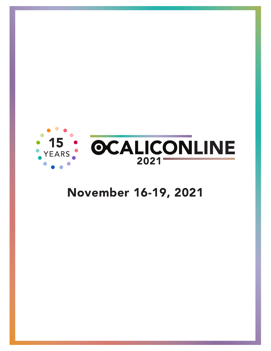

# November 16-19, 2021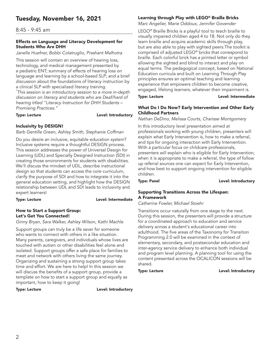# Tuesday, November 16, 2021

# 8:45 - 9:45 am

### Effects on Language and Literacy Development for Students Who Are DHH

*Janelle Huefner, Bobbi Colatruglio, Prashant Malhotra*

This session will contain an overview of hearing loss, technology, and medical management presented by a pediatric ENT; summary of effects of hearing loss on language and learning by a school-based SLP; and a brief discussion about the foundations of literacy instruction by a clinical SLP with specialized literacy training.

*\* This session is an introductory session to a more in-depth discussion on literacy and students who are Deaf/hard of hearing titled "Literacy Instruction for DHH Students – Promising Practices."*

Type: Lecture **Lexel:** Level: Introductory

# Inclusivity by DESIGN!

*Barb Gentille Green, Ashley Smith, Stephanie Coffman*

Do you desire an inclusive, equitable education system? Inclusive systems require a thoughtful DESIGN process. This session addresses the power of Universal Design for Learning (UDL) and Specially Designed Instruction (SDI) in creating those environments for students with disabilities. We'll discuss the mindset of UDL, describe instructional design so that students can access the core curriculum, clarify the purpose of SDI and how to integrate it into the general education setting, and highlight how the DESIGN relationship between UDL and SDI leads to inclusivity and expert learners!

Type: Lecture **Lexel:** Level: Intermediate

# How to Start a Support Group: Let's Get You Connected!

### *Ginny Bryan, Sara Walker, Ashley Wilson, Kathi Machle*

Support groups can truly be a life saver for someone who wants to connect with others in a like situation. Many parents, caregivers, and individuals whose lives are touched with autism or other disabilities feel alone and isolated. Support groups offer a safe place for families to meet and network with others living the same journey. Organizing and sustaining a strong support group takes time and effort. We are here to help! In this session we will discuss the benefits of a support group, provide a template on how to start a support group and equally as important, how to keep it going!

Type: Lecture **Lexel:** Level: Introductory

# Learning through Play with LEGO® Braille Bricks

*Marc Angelier, Marie Oddoux, Jennifer Govender*

LEGO® Braille Bricks is a playful tool to teach braille to visually impaired children aged 4 to 18. Not only do they learn braille and acquire academic skills through play, but are also able to play with sighted peers.The toolkit is comprised of adjusted LEGO® bricks that correspond to braille. Each colorful brick has a printed letter or symbol allowing the sighted and blind to interact and play on equal terms. The pedagogical concept, based on National Education curricula and built on Learning Through Play principles ensures an optimal teaching and learning experience that empowers children to become creative, engaged, lifelong learners, whatever their impairment is.

Type: Lecture **Lexel:** Level: Intermediate

# What Do I Do Now? Early Intervention and Other Early Childhood Partners

*Nathan DeDino, Melissa Courts, Charisse Montgomery*

In this introductory level presentation aimed at professionals working with young children, presenters will explain what Early Intervention is, how to make a referral, and tips for ongoing interaction with Early Intervention. With a particular focus on childcare professionals, presenters will explain who is eligible for Early Intervention, when it is appropriate to make a referral, the type of follow up referral sources one can expect for Early Intervention, and how best to support ongoing intervention for eligible children.

Type: Panel **Level:** Introductory

### Supporting Transitions Across the Lifespan: A Framework

*Catherine Fowler, Michael Stoehr*

Transitions occur naturally from one stage to the next. During this session, the presenters will provide a structure for a coordinated approach to education and service delivery across a student's educational career into adulthood. The five areas of the Taxonomy for Transition Programming 2.0 will be examined in the context of elementary, secondary, and postsecondar education and inter-agency service delivery to enhance both individual and program level planning. A planning tool for using the content presented across the OCALICON sessions will be shared.

Type: Lecture **Lexel:** Level: Introductory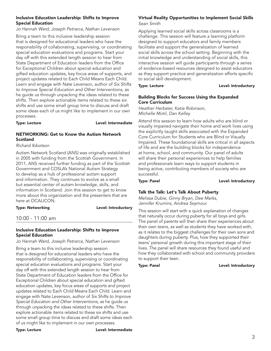### Inclusive Education Leadership: Shifts to Improve Special Education

*Jo Hannah Ward, Joseph Petrarca, Nathan Levenson*

Bring a team to this inclusive leadership session that is designed for educational leaders who have the responsibility of collaborating, supervising, or coordinating special education evaluations and programs. Start your day off with this extended length session to hear from State Department of Education leaders from the Office for Exceptional Children about special education and gifted education updates, key focus areas of supports, and project updates related to Each Child Means Each Child. Learn and engage with Nate Levenson, author of *Six Shifts to Improve Special Education and Other Interventions*, as he guide us through unpacking the ideas related to these shifts. Then explore actionable items related to these six shifts and use some small group time to discuss and draft some ideas each of us might like to implement in our own processes.

Type: Lecture **Lexel:** Level: Intermediate

# NETWORKING: Get to Know the Autism Network Scotland

*Richard Ibbotson*

Autism Network Scotland (ANS) was originally established in 2005 with funding from the Scottish Government. In 2011, ANS received further funding as part of the Scottish Government and COSLA's National Autism Strategy to develop as a hub of professional autism support and information. They continues to evolve as a small but essential center of autism knowledge, skills, and information in Scotland. Join this session to get to know more about this organization and the presenters that are here at OCALICON.

Type: Networking and all the controller that the Level: Introductory

# 10:00 - 11:00 am

# Inclusive Education Leadership: Shifts to Improve Special Education

*Jo Hannah Ward, Joseph Petrarca, Nathan Levenson*

Bring a team to this inclusive leadership session that is designed for educational leaders who have the responsibility of collaborating, supervising or coordinating special education evaluations and programs. Start your day off with this extended length session to hear from State Department of Education leaders from the Office for Exceptional Children about special education and gifted education updates, key focus areas of supports and project updates related to Each Child Means Each Child. Learn and engage with Nate Levenson, author of *Six Shifts to Improve Special Education and Other Interventions*, as he guide us through unpacking the ideas related to these shifts. Then explore actionable items related to these six shifts and use some small group time to discuss and draft some ideas each of us might like to implement in our own processes.

# Virtual Reality Opportunities to Implement Social Skills

*Sean Smith*

Applying learned social skills across classrooms is a challenge. This session will feature a learning platform designed to support educators and family members facilitate and support the generalization of learned social skills across the school setting. Beginning with the initial knowledge and understanding of social skills, this interactive session will guide participants through a series of evidence-based resources designed to assist educators as they support practice and generalization efforts specific to social skill development.

Type: Lecture **Lexel:** Level: Introductory

### Building Blocks for Success Using the Expanded Core Curriculum

*Heather Herbster, Katie Robinson, Michelle Motil, Dan Kelley*

Attend this session to learn how adults who are blind or visually impaired navigate their home and work lives using the explicitly taught skills associated with the Expanded Core Curriculum for Students who are Blind or Visually Impaired. These foundational skills are critical in all aspects of life and are the building blocks for independence at home, school, and community. Our panel of adults will share their personal experiences to help families and professionals learn ways to support students in being active, contributing members of society who are successful.

Type: Panel **Level:** Introductory

# Talk the Talk: Let's Talk About Puberty

*Melissa Dubie, Ginny Bryan, Dee Marks, Jennifer Krumins, Andrea Seymour*

This session will start with a quick explanation of changes that naturally occur during puberty for all boys and girls. The panel of parents will then share their experiences about their own teens, as well as students they have worked with, as it relates to the biggest challenges for their own sons and daughters during puberty. Plus, how they supported their teens' personal growth during this important stage of their lives. The panel will share resources they found useful and how they collaborated with school and community providers to support their teen.

Type: Panel **Level:** Introductory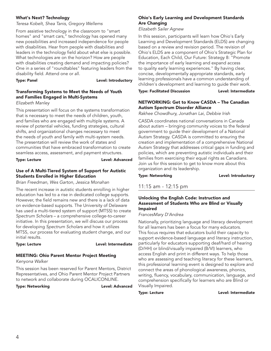# What's Next? Technology

### *Teresa Kobelt, Shea Tanis, Gregory Wellems*

From assistive technology in the classroom to "smart homes" and "smart cars," technology has opened many new possibilities and increased independence for people with disabilities. Hear from people with disabilities and leaders in the technology field about what else is possible. What technologies are on the horizon? How are people with disabilities creating demand and impacting policies? One in a series of "roundtables" featuring leaders from the disability field. Attend one or all.

Type: Panel **Level:** Introductory

# Transforming Systems to Meet the Needs of Youth and Families Engaged in Multi-Systems

### *Elizabeth Manley*

This presentation will focus on the systems transformation that is necessary to meet the needs of children, youth, and families who are engaged with multiple systems. A review of potential vehicles, funding strategies, cultural shifts, and organizational changes necessary to meet the needs of youth and family with multi-system needs. The presentation will review the work of states and communities that have embraced transformation to create seamless access, assessment, and payment structures.

### Type: Lecture **Lexel: Advanced**

# Use of A Multi-Tiered System of Support for Autistic Students Enrolled in Higher Education

*Brian Freedman, Wes Garton, Jessica Monahan*

The recent increase in autistic students enrolling in higher education has led to a rise in dedicated college supports. However, the field remains new and there is a lack of data on evidence-based supports. The University of Delaware has used a multi-tiered system of support (MTSS) to create *Spectrum Scholars* – a comprehensive college-to-career initiative. In this presentation, we will discuss our process for developing *Spectrum Scholars* and how it utilizes MTSS, our process for evaluating student change, and our initial results.

### Type: Lecture Level: Intermediate

# MEETING: Ohio Parent Mentor Project Meeting

*Kenyona Walker*

This session has been reserved for Parent Mentors, District Representatives, and Ohio Parent Mentor Project Partners to network and collaborate during OCALICONLINE.

### Type: Networking and a controller controller and Level: Advanced

# Ohio's Early Learning and Development Standards Are Changing

*Elizabeth Sailer Agnew*

In this session, participants will learn how Ohio's Early Learning and Development Standards (ELDS) are changing based on a review and revision period. The revision of Ohio's ELDS are a component of Ohio's Strategic Plan for Education, Each Child, Our Future: Strategy 8: "Promote the importance of early learning and expand access to quality early learning experiences." By having clear, concise, developmentally appropriate standards, early learning professionals have a common understanding of children's development and learning to guide their work.

Type: Facilitated Discussion Level: Intermediate

# NETWORKING: Get to Know CASDA – The Canadian Autism Spectrum Disorder Alliance

*Rakhee Chowdhury, Jonathan Lai, Debbie Irish*

CASDA coordinates national conversations in Canada about autism – bringing community voices to the federal government to guide their development of a National Autism Strategy. CASDA is committed to ensuring the creation and implementation of a comprehensive National Autism Strategy that addresses critical gaps in funding and policies, which are preventing autistic individuals and their families from exercising their equal rights as Canadians. Join us for this session to get to know more about this organization and its leadership.

Type: Networking and Level: Introductory

# 11:15 am - 12:15 pm

# Unlocking the English Code: Instruction and Assessment of Students Who are Blind or Visually Impaired

# *FrancesMary D'Andrea*

Nationally, prioritizing language and literacy development for all learners has been a focus for many educators. This focus requires that educators build their capacity to support evidence-based language and literacy instruction, particularly for educators supporting deaf/hard of hearing (D/HH) or blind/visually impaired (B/VI) learners, who access English and print in different ways. To help those who are assessing and teaching literacy for these learners, this professional learning event is designed to explore and connect the areas of phonological awareness, phonics, writing, fluency, vocabulary, communication, language, and comprehension specifically for learners who are Blind or Visually Impaired.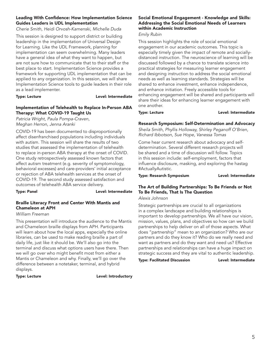# Leading With Confidence: How Implementation Science Guides Leaders in UDL Implementation

*Cherie Smith, Heidi Orvosh-Kamenski, Michelle Duda*

This session is designed to support district or building leadership in the implementation of Universal Design for Learning. Like the UDL Framework, planning for implementation can seem overwhelming. Many leaders have a general idea of what they want to happen, but are not sure how to communicate that to their staff or the best place to start. Implementation Science provides a framework for supporting UDL implementation that can be applied to any organization. In this session, we will share Implementation Science tools to guide leaders in their role as a lead implementer.

### Type: Lecture **Lexel:** Level: Intermediate

### Implementation of Telehealth to Replace In-Person ABA Therapy: What COVID-19 Taught Us

*Patricia Wright, Paula Pompa-Craven, Meghan Herron, Jenna Aranki*

COVID-19 has been documented to disproportionally affect disenfranchised populations including individuals with autism. This session will share the results of two studies that assessed the implementation of telehealth to replace in-person ABA therapy at the onset of COVID. One study retrospectively assessed known factors that affect autism treatment (e.g. severity of symptomology, behavioral excesses) and care-providers' initial acceptance or rejection of ABA telehealth services at the onset of COVID-19. The second study assessed satisfaction and outcomes of telehealth ABA service delivery.

### Type: Panel **Level:** Intermediate

# Braille Literacy Front and Center With Mantis and Chameleon at APH

# *William Freeman*

This presentation will introduce the audience to the Mantis and Chameleon braille displays from APH. Participants will learn about how the local apps, especially the online libraries, can be used to make reading braille a part of daily life, just like it should be. We'll also go into the terminal and discuss what options users have there. Then we will go over who might benefit most from either a Mantis or Chameleon and why. Finally, we'll go over the difference between a notetaker, terminal, and hybrid displays.

# Type: Lecture **Lexel:** Level: Introductory

# Social Emotional Engagement - Knowledge and Skills: Addressing the Social Emotional Needs of Learners within Academic Instruction

### *Emily Rubin*

This session highlights the role of social emotional engagement in our academic outcomes. This topic is especially timely given the impact of remote and sociallydistanced instruction. The neuroscience of learning will be discussed followed by a chance to translate science into practical strategies for measuring learner engagement and designing instruction to address the social emotional needs as well as learning standards. Strategies will be shared to enhance investment, enhance independence, and enhance initiation. Freely accessible tools for enhancing engagement will be shared and participants will share their ideas for enhancing learner engagement with one another.

### Type: Lecture **Lexel:** Level: Intermediate

# Research Symposium: Self-Determination and Advocacy

*Sheila Smith, Phyllis Holloway, Shirley Peganoff O'Brien, Richard Ibbotson, Sue Hope, Vanessa Tomas*

Come hear current research about advocacy and selfdetermination. Several different research projects will be shared and a time of discussion will follow. Topics in this session include: self-employment, factors that influence disclosure, masking, and exploring the hastag #ActuallyAutistic.

# Type: Research Symposium Level: Intermediate

# The Art of Building Partnerships: To Be Friends or Not To Be Friends, That Is The Question

*Alexis Johnson*

Strategic partnerships are crucial to all organizations in a complex landscape and building relationships is important to develop partnerships. We all have our vision, mission, values, plans, and objectives so how can we build partnerships to help deliver on all of those aspects. What does "partnership" mean to an organization? Who are our partners and do they know it? Who do we really need and want as partners and do they want and need us? Effective partnerships and relationships can have a huge impact on strategic success and they are vital to authentic leadership.

Type: Facilitated Discussion Level: Intermediate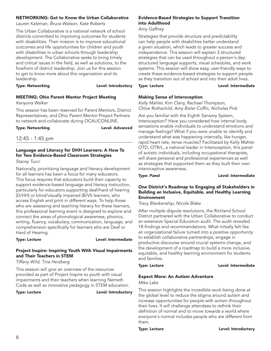### NETWORKING: Get to Know the Urban Collaborative

*Lauren Katzman, Bruce Watson, Kate Roberts*

The Urban Collaborative is a national network of school districts committed to improving outcomes for students with disabilities. Their mission is to improve educational outcomes and life opportunities for children and youth with disabilities in urban schools through leadership development. The Collaborative seeks to bring timely and critical issues in the field, as well as solutions, to the forefront of district leadership. Join us for this session to get to know more about this organization and its leadership.

Type: Networking and a controller controller between Level: Introductory

# MEETING: Ohio Parent Mentor Project Meeting

*Kenyona Walker*

This session has been reserved for Parent Mentors, District Representatives, and Ohio Parent Mentor Project Partners to network and collaborate during OCALICONLINE.

Type: Networking and all the control of the Level: Advanced

# 12:45 - 1:45 pm

# Language and Literacy for DHH Learners: A How To for Two Evidence-Based Classroom Strategies

*Stacey Tucci*

Nationally, prioritizing language and literacy development for all learners has been a focus for many educators. This focus requires that educators build their capacity to support evidence-based language and literacy instruction, particularly for educators supporting deaf/hard of hearing (D/HH) or blind/visually impaired (B/VI) learners, who access English and print in different ways. To help those who are assessing and teaching literacy for these learners, this professional learning event is designed to explore and connect the areas of phonological awareness, phonics, writing, fluency, vocabulary, communication, language, and comprehension specifically for learners who are Deaf or Hard of Hearing.

Type: Lecture **Lexel:** Level: Intermediate

# Project Inspire: Inspiring Youth With Visual Impairments and Their Teachers in STEM

*Tiffany Wild, Tina Herzberg*

This session will give an overview of the resources provided as part of Project Inspire to youth with visual impairments and their teachers when learning Nemeth Code as well as innovative pedagogy in STEM education.

Type: Lecture **Lexture Level: Introductory** 

# Evidence-Based Strategies to Support Transition into Adulthood

*Amy Gaffney*

Strategies that provide structure and predictability can help people with disabilities better understand a given situation, which leads to greater success and independence. This session will explain 3 structured strategies that can be used throughout a person's day: structured language supports, visual schedules, and work systems. This session will show easy, user-friendly ways to create these evidence-based strategies to support people as they transition out of school and into their adult lives.

Type: Lecture **Lexture** Level: Intermediate

# Making Sense of Interoception

*Kelly Mahler, Kim Clairy, Rachael Thompson, Chloe Rothschild, Amy Bixler Coffin, Nicholas Pink*

Are you familiar with the Eighth Sensory System, Interoception? Have you considered how internal body sensations enable individuals to understand emotions and manage feelings? What if you were unable to identify and understand what was happening internally, like hunger, rapid heart rate, tense muscles? Facilitated by Kelly Mahler OTD, OTR/L, a national leader in Interoception, this panel of autistic individuals, including occupational therapists, will share personal and professional experiences as well as strategies that supported them as they built their own interoceptive awareness.

Type: Panel **Lexel:** Level: Intermediate

### One District's Roadmap to Engaging all Stakeholders in Building an Inclusive, Equitable, and Healthy Learning Environment

*Tracy Blankenship, Nicole Blake*

After multiple dispute resolutions, the Richland School District partnered with the Urban Collaborative to conduct an extensive Special Education audit. The audit revealed 18 findings and recommendations. What initially felt like an organizational failure turned into a positive opportunity to establish collaborative partnerships, engage in productive discourse around crucial systems change, and the development of a roadmap to build a more inclusive, equitable, and healthy learning environment for students and families.

### Type: Lecture **Lexel:** Level: Intermediate

# Expect More: An Autism Adventure

*Mike Lake*

This session highlights the incredible work being done at the global level to reduce the stigma around autism and increase opportunities for people with autism throughout their lives. It will challenge attendees to rethink their definition of normal and to move towards a world where everyone's normal includes people who are different from them.

### Type: Lecture **Lexel:** Level: Introductory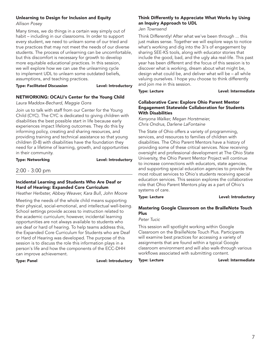# Unlearning to Design for Inclusion and Equity

### *Allison Posey*

Many times, we do things in a certain way simply out of habit – including in our classrooms. In order to support every student, we need to unlearn some of our tried and true practices that may not meet the needs of our diverse students. The process of unlearning can be uncomfortable, but this discomfort is necessary for growth to develop more equitable educational practices. In this session, we will explore how we can use the unlearning cycle to implement UDL to unlearn some outdated beliefs, assumptions, and teaching practices.

Type: Facilitated Discussion Level: Introductory

# NETWORKING: OCALI's Center for the Young Child

# *Laura Maddox-Bechard, Maggie Gons*

Join us to talk with staff from our Center for the Young Child (CYC). The CYC is dedicated to giving children with disabilities the best possible start in life because early experiences impact lifelong outcomes. They do this by informing policy, creating and sharing resources, and providing training and technical assistance so that young children (0-8) with disabilities have the foundation they need for a lifetime of learning, growth, and opportunities in their community.

Type: Networking and Level: Introductory

# 2:00 - 3:00 pm

# Incidental Learning and Students Who Are Deaf or Hard of Hearing: Expanded Core Curriculum

*Heather Herbster, Abbey Weaver, Kara Bull, John Moore*

Meeting the needs of the whole child means supporting their physical, social-emotional, and intellectual well-being. School settings provide access to instruction related to the academic curriculum; however, incidental learning opportunities are not always available to students who are deaf or hard of hearing. To help teams address this, the Expanded Core Curriculum for Students who are Deaf or Hard of Hearing was developed. The purpose of this session is to discuss the role this information plays in a person's life and how the components of the ECC-DHH can improve achievement.

Type: Panel **Level:** Introductory

# Think Differently to Appreciate What Works by Using an Inquiry Approach to UDL

*Jen Townsend*

Think Differently! After what we've been through ... this just makes sense. Together we will explore ways to notice what's working and dig into the 3i's of engagement by sharing SEE-KS tools, along with educator stories that include the good, bad, and the ugly aka real-life. This past year has been different and the focus of this session is to discover what is working, dream about what might be, design what could be, and deliver what will be – all while valuing ourselves. I hope you choose to think differently and join me in this session.

Type: Lecture **Lexel:** Level: Intermediate

### Collaborative Care: Explore Ohio Parent Mentor Engagement Statewide Collaboration for Students With Disabilities

*Kenyona Walker, Megan Horstmeier, Chris Ondrus, Darlene LaFontaine*

The State of Ohio offers a variety of programming, services, and resources to families of children with disabilities. The Ohio Parent Mentors have a history of providing some of these critical services. Now receiving oversight and professional development at The Ohio State University, the Ohio Parent Mentor Project will continue to increase connections with educators, state agencies, and supporting special education agencies to provide the most robust services to Ohio's students receiving special education services. This session explores the collaborative role that Ohio Parent Mentors play as a part of Ohio's systems of care.

Type: Lecture **Lexel:** Level: Introductory

# Mastering Google Classroom on the BrailleNote Touch Plus

*Peter Tucic*

This session will spotlight working within Google Classroom on the BrailleNote Touch Plus. Participants will examine best practices for accessing a variety of assignments that are found within a typical Google classroom environment and will also walk-through various workflows associated with submitting content.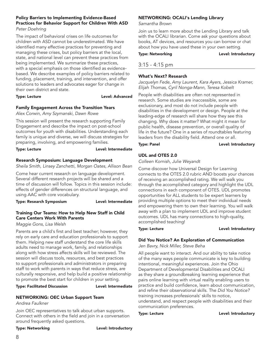# Policy Barriers to Implementing Evidence-Based Practices for Behavior Support for Children With ASD

*Peter Doehring*

The impact of behavioral crises on life outcomes for children with ASD cannot be underestimated. We have identified many effective practices for preventing and managing these crises, but policy barriers at the local, state, and national level can prevent these practices from being implemented. We summarize these practices, with a special emphasis on those identified as evidencebased. We describe examples of policy barriers related to funding, placement, training, and intervention, and offer solutions to leaders and advocates eager for change in their own district and state.

Type: Lecture **Level: Advanced** 

# Family Engagement Across the Transition Years

*Alex Corwin, Amy Szymanski, Dawn Rowe*

This session will present the research supporting Family Engagement and describe the impact on post-school outcomes for youth with disabilities. Understanding each family is unique and diverse, we will discuss strategies for preparing, involving, and empowering families.

### Type: Lecture **Lexel:** Level: Intermediate

# Research Symposium: Language Development

*Sheila Smith, Linsey Zanchetti, Morgan Oates, Allison Bean*

Come hear current research on language development. Several different research projects will be shared and a time of discussion will follow. Topics in this session include: effects of gender differences on structural language, and using AAC with core vocabulary.

Type: Research Symposium Level: Intermediate

# Training Our Teams: How to Help New Staff in Child Care Centers Work With Parents

*Maggie Gons, Lisa Welsh*

Parents are a child's first and best teacher; however, they rely on early care and education professionals to support them. Helping new staff understand the core life skills adults need to manage work, family, and relationships along with how stress affects skills will be reviewed. The session will discuss tools, resources, and best practices to support professionals and administrators in preparing staff to work with parents in ways that reduce stress, are culturally responsive, and help build a positive relationship to promote the best start for children in your setting.

Type: Facilitated Discussion Level: Intermediate

# NETWORKING: OEC Urban Support Team

*Andrea Faulkner* 

Join OEC representatives to talk about urban supports. Connect with others in the field and join in a conversation around frequently asked questions.

Type: Networking and all the controller that the Level: Introductory

# NETWORKING: OCALI's Lending Library

*Samantha Brown*

Join us to learn more about the Lending Library and talk with the OCALI librarian. Come ask your questions about books, AT devices, and resources you can borrow or chat about how you have used these in your own setting.

Type: Networking and a controller controller that the Level: Introductory

# 3:15 - 4:15 pm

# What's Next? Research

*Jacquelyn Fede, Amy Laurent, Kara Ayers, Jessica Kramer, Elijah Thomas, Cyril Nonga-Mann, Teresa Kobelt*

People with disabilities are often not represented in research. Some studies are inaccessible, some are exclusionary, and most do not include people with disabilities in the development or design. People at the leading-edge of research will share how they see this changing. Why does it matter? What might it mean for public health, disease prevention, or overall quality of life in the future? One in a series of roundtables featuring leaders from the disability field. Attend one or all.

Type: Panel **Level:** Introductory

# UDL and OTES 2.0

*Colleen Kornish, Julie Weyandt*

Come discover how Universal Design for Learning connects to the OTES 2.0 rubric AND boosts your chances of receiving an accomplished rating. We will walk you through the accomplished category and highlight the UDL connections in each component of OTES. UDL promotes opportunities for ALL students to be expert learners by providing multiple options to meet their individual needs and empowering them to own their learning. You will walk away with a plan to implement UDL and improve student outcomes. UDL has many connections to high-quality, accomplished teaching!

# Type: Lecture **Lexture Level: Introductory**

# Did You Notice? An Exploration of Communication

*Jen Bavry, Nick Miller, Steve Beha*

All people want to interact. And our ability to take notice of the many ways people communicate is key to building intentional, meaningful experiences. Join the Ohio Department of Developmental Disabilities and OCALI as they share a groundbreaking learning experience that pairs online learning with virtual reality enabling users to practice and build confidence, learn about communication, and refine their observational skills. The *Did You Notice?*  training increases professionals' skills to notice, understand, and respect people with disabilities and their communication preferences.

Type: Lecture **Lexel:** Level: Introductory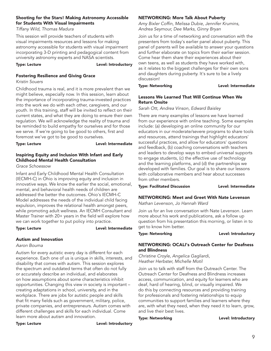# Shooting for the Stars! Making Astronomy Accessible for Students With Visual Impairments

*Tiffany Wild, Thomas Madura*

This session will provide teachers of students with visual impairments resources and lessons for making astronomy accessible for students with visual impairment incorporating 3-D printing and pedagogical content from university astronomy experts and NASA scientists.

Type: Lecture **Lexel:** Level: Introductory

# Fostering Resilience and Giving Grace

*Kristin Souers*

Childhood trauma is real, and it is more prevalent than we might believe, especially now. In this session, learn about the importance of incorporating trauma-invested practices into the work we do with each other, caregivers, and our youth. In this training, staff will be invited to reflect on their current states, and what they are doing to ensure their own regulation. We will acknowledge the reality of trauma and be reminded to build empathy for ourselves and for those we serve. If we're going to be good to others, first and foremost we've got to be good to ourselves.

### Type: Lecture **Lexel:** Level: Intermediate

# Inspiring Equity and Inclusion With Infant and Early Childhood Mental Health Consultation

*Grace Schoessow*

Infant and Early Childhood Mental Health Consultation (IECMH-C) in Ohio is improving equity and inclusion in innovative ways. We know the earlier the social, emotional, mental, and behavioral health needs of children are addressed the better the outcomes. Ohio's IECMH-C Model addresses the needs of the individual child facing expulsion, improves the relational health amongst peers, while promoting adult wellness. An IECMH Consultant and Master Trainer with 20+ years in the field will explore how we can work together to put policy into practice.

Type: Lecture **Lexel:** Level: Intermediate

# Autism and Innovation

*Aaron Bouma*

Autism for every autistic every day is different for each experience. Each one of us is unique in skills, interests, and disability that comes with autism. This session explores the spectrum and outdated terms that often do not fully or accurately describe an individual, and elaborates on how assumptions about some characteristics inhibit opportunities. Changing this view in society is important – creating adaptations in school, university, and in the workplace. There are jobs for autistic people and skills that fit many fields such as government, military, police, private companies, and entrepreneurs. Autism comes with different challenges and skills for each individual. Come learn more about autism and innovation.

Type: Lecture **Lexel:** Level: Introductory

# NETWORKING: More Talk About Puberty

*Amy Bixler Coffin, Melissa Dubie, Jennifer Krumins, Andrea Seymour, Dee Marks, Ginny Bryan*

Join us for a time of networking and conversation with the presenters from today's earlier panel about puberty. This panel of parents will be available to answer your questions and further elaborate on topics from their earlier session. Come hear them share their experiences about their own teens, as well as students they have worked with, as it relates to the biggest challenges for their own sons and daughters during puberty. It's sure to be a lively discussion!

### Type: Networking and a controller controller that the Level: Intermediate

### Lessons We Learned That Will Continue When We Return Onsite

*Sarah Ott, Andrea Vinson, Edward Baisley*

There are many examples of lessons we have learned from our experience with online teaching. Some examples include: (a) developing an online community for our educators in our moderate/severe programs to share tools and resources, attend trainings that highlight educators' successful practices, and allow for educators' questions and feedback, (b) coaching conversations with teachers and leaders to develop ways to embed universal supports to engage students, (c) the effective use of technology and the learning platforms, and (d) the partnerships we developed with families. Our goal is to share our lessons with collaborative members and hear about successes from other members.

Type: Facilitated Discussion Level: Intermediate

# NETWORKING: Meet and Greet With Nate Levenson

*Nathan Levenson, Jo Hannah Ward*

Join us for an live conversation with Nate Levenson. Learn more about his work and publications, ask a follow up question from his presentation this morning, or listen in to get to know him better.

Type: Networking and all the controller that the Level: Introductory

# NETWORKING: OCALI's Outreach Center for Deafness and Blindness

*Christine Croyle, Angelica Gagliardi, Heather Herbster, Michelle Motil*

Join us to talk with staff from the Outreach Center. The Outreach Center for Deafness and Blindness increases access, communication, and equity for learners who are deaf, hard of hearing, blind, or visually impaired. We do this by connecting resources and providing training for professionals and fostering relationships to equip communities to support families and learners where they are, with what they need, when they need it to learn, grow, and live their best lives.

### Type: Networking Type: Level: Introductory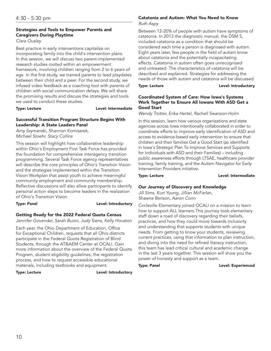# Strategies and Tools to Empower Parents and Caregivers During Playtime

*Ciara Ousley*

Best practice in early interventions capitalize on incorporating family into the child's intervention plans. In this session, we will discuss two parent-implemented research studies rooted within an empowerment framework, involving children ranging from 2 to 6 years of age. In the first study, we trained parents to lead playdates between their child and a peer. For the second study, we infused video feedback as a coaching tool with parents of children with social communication delays. We will share the promising results and discuss the strategies and tools we used to conduct these studies.

Type: Lecture **Lexel:** Level: Intermediate

# Successful Transition Program Structure Begins With Leadership: A State Leaders Panel

*Amy Szymanski, Shannon Komisarek, Michael Stoehr, Stacy Collins*

This session will highlight how collaborative leadership within Ohio's Employment First Task Force has provided the foundation for comprehensive interagency transition programming. Several Task Force agency representatives will describe the core principles of Ohio's Transition Vision and the strategies implemented within the Transition Vision Workplan that assist youth to achieve meaningful community employment and community membership. Reflective discussions will also allow participants to identify personal action steps to become leaders in the realization of Ohio's Transition Vision.

Type: Panel **Level:** Introductory

# Getting Ready for the 2022 Federal Quota Census

*Jennifer Govender, Sarah Buoni, Judy Siens, Kelly Houston*

Each year, the Ohio Department of Education, Office for Exceptional Children, requests that all Ohio districts participate in the Federal Quota Registration of Blind Students, through the AT&AEM Center at OCALI. Gain more information about the overview of the Federal Quota Program, student eligibility guidelines, the registration process, and how to request accessible educational materials, including textbooks and equipment.

Type: Lecture **Lexel:** Level: Introductory

# Catatonia and Autism: What You Need to Know

*Ruth Aspy*

Between 12-20% of people with autism have symptoms of catatonia. In 2013 the diagnostic manual, the DSM 5, included catatonia as a condition that should be considered each time a person is diagnosed with autism. Eight years later, few people in the field of autism know about catatonia and the potentially incapacitating effects. Catatonia in autism often goes unrecognized and untreated. The characteristics of catatonia will be described and explained. Strategies for addressing the needs of those with autism and catatonia will be discussed.

Type: Lecture **Lexel:** Level: Introductory

# Coordinated System of Care: How Iowa's Systems Work Together to Ensure All Iowans With ASD Get a Good Start

*Wendy Trotter, Erika Hertel, Rachell Swanson-Holm*

In this session, learn how various organizations and state agencies across Iowa intentionally collaborated in order to coordinate efforts to improve early identification of ASD and access to evidence-based early intervention to ensure that children and their families Get a Good Start (as identified in Iowa's Strategic Plan To Improve Services and Supports for Individuals with ASD and their Families) – including public awareness efforts through LTSAE, healthcare provider training, family training, and the Autism Navigator for Early Intervention Providers initiative.

Type: Lecture **Lexel:** Level: Intermediate

# Our Journey of Discovery and Knowledge

*Jill Sims, Kurt Young, Jillian McFarlan, Shawna Benson, Aaron Conn*

Circleville Elementary joined OCALI on a mission to learn how to support ALL learners.This journey took elementary staff down a road of discovery regarding their beliefs, practices, and how they could move towards inclusivity and understanding that supports students with unique needs. From getting to know your students, reviewing current practices, using that information to plan instruction, and diving into the need for refined literacy instruction, this team has lead critical cultural and academic change in the last 3 years together. This session will show you the power of honesty and support as a team.

Type: Panel **Level: Experienced**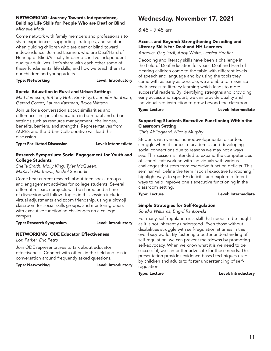# NETWORKING: Journey Towards Independence, Building Life Skills for People Who are Deaf or Blind

*Michelle Motil*

Come network with family members and professionals to share experiences, supporting strategies, and solutions when guiding children who are deaf or blind toward independence. Join us! Learners who are Deaf/Hard of Hearing or Blind/Visually Impaired can live independent quality adult lives. Let's share with each other some of these fundamental life skills, and how we teach them to our children and young adults.

### Type: Networking and a controller controller that the Level: Introductory

# Special Education in Rural and Urban Settings

*Matt Jameson, Brittany Hott, Kim Floyd, Jennifer Baribeau, Gerard Cortez, Lauren Katzman, Bruce Watson*

Join us for a conversation about similiarities and differences in special education in both rural and urban settings such as resource management, challenges, benefits, barriers, and strengths. Representatives from ACRES and the Urban Collaborative will lead this discussion.

Type: Facilitated Discussion Level: Intermediate

# Research Symposium: Social Engagement for Youth and College Students

*Sheila Smith, Molly King, Tyler McQueen, MaKayla Matthews, Rachel Sunderlin*

Come hear current research about teen social groups and engagement activites for college students. Several different research projects will be shared and a time of discussion will follow. Topics in this session include: virtual adjustments and zoom friendship, using a bitmoji classroom for social skills groups, and mentoring peers with executive functioning challenges on a college campus.

# Type: Research Symposium Level: Introductory

# NETWORKING: ODE Educator Effectiveness

*Lori Parker, Eric Petro*

Join ODE representatives to talk about educator effectiveness. Connect with others in the field and join in conversation around frequently asked questions.

Type: Networking Type: Networking

# Wednesday, November 17, 2021

# 8:45 - 9:45 am

# Access and Beyond: Strengthening Decoding and Literacy Skills for Deaf and HH Learners

*Angelica Gagliardi, Abby White, Jessica Hoefler*

Decoding and literacy skills have been a challenge in the field of Deaf Education for years. Deaf and Hard of Hearing children come to the table with different levels of speech and language and by using the tools they come with as early as possible, we are able to maximize their access to literacy learning which leads to more successful readers. By identifying strengths and providing early access and support, we can provide quality and individualized instruction to grow beyond the classroom.

Type: Lecture **Lexel:** Level: Intermediate

# Supporting Students Executive Functioning Within the Classroom Setting

*Chris Abildgaard, Nicole Murphy*

Students with various neurodevelopmental disorders struggle when it comes to academics and developing social connections due to reasons we may not always see. This session is intended to expand the competencies of school staff working with individuals with various challenges that stem from executive function deficits. This seminar will define the term "social executive functioning," highlight ways to spot EF deficits, and explore different ways to help improve one's executive functioning in the classroom setting.

Type: Lecture **Lexel:** Level: Intermediate

# Simple Strategies for Self-Regulation

*Sondra Williams, Brigid Rankowski*

For many, self-regulation is a skill that needs to be taught as it is not inherently understood. Even those without disabilities struggle with self-regulation at times in this ever-busy world. By fostering a better understanding of self-regulation, we can prevent meltdowns by promoting self-advocacy. When we know what it is we need to be successful, we can better advocate for those needs. This presentation provides evidence-based techniques used by children and adults to foster understanding of selfregulation.

Type: Lecture **Lexel:** Level: Introductory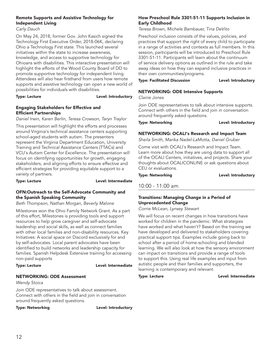# Remote Supports and Assistive Technology for Independent Living

*Carly Dauch*

On May 24, 2018, former Gov. John Kasich signed the Technology First Executive Order, 2018-06K, declaring Ohio a Technology First state. This launched several initiatives within the state to increase awareness, knowledge, and access to supportive technology for Ohioans with disabilities. This interactive presentation will highlight the efforts of the Wood County Board of DD to promote supportive technology for independent living. Attendees will also hear firsthand from users how remote supports and assistive technology can open a new world of possibilities for individuals with disabilities.

# Type: Lecture **Lexel:** Level: Introductory

# Engaging Stakeholders for Effective and Efficient Partnerships

*Daniel Irwin, Karen Berlin, Teresa Crowson, Taryn Traylor*

This presentation will highlight the efforts and processes around Virginia's technical assistance centers supporting school-aged students with autism. The presenters represent the Virginia Department Education, University Training and Technical Assistance Centers (TTACs) and VCU's Autism Center for Excellence. The presentation will focus on identifying opportunities for growth, engaging stakeholders, and aligning efforts to ensure effective and efficient strategies for providing equitable support to a variety of partners.

Type: Lecture **Lexel:** Level: Intermediate

# OFN:Outreach to the Self-Advocate Community and the Spanish Speaking Community

*Beth Thompson, Nathan Morgan, Beverly Malone*

Milestones won the Ohio Family Network Grant. As a part of this effort, Milestones is providing tools and support resources to help grow caregiver and self-advocate leadership and social skills, as well as connect families with other local families and non-disability resources. Key Initiatives: A social space on Discord exclusively for and by self-advocates. Local parent advocates have been identified to build networks and leadership capacity for families. Spanish Helpdesk Extensive training for accessing non-paid supports

# Type: Lecture **Lexel:** Level: Intermediate

# NETWORKING: ODE Assessment

*Wendy Stoica*

Join ODE representatives to talk about assessment. Connect with others in the field and join in conversation around frequently asked questions.

Type: Networking and a controller controller that the Level: Introductory

# How Preschool Rule 3301-51-11 Supports Inclusion in Early Childhood

*Teresa Brown, Michele Bambauer, Tina DeVito*

Preschool inclusion consists of the values, policies, and practices that support the right of every child to participate in a range of activities and contexts as full members. In this session, participants will be introduced to Preschool Rule 3301-51-11. Participants will learn about the continuum of service delivery options as outlined in the rule and take away ideas on how they can expand inclusive practices in their own communities/programs.

# Type: Facilitated Discussion Level: Introductory

# NETWORKING: ODE Intensive Supports

*Clairie Jones*

Join ODE representatives to talk about intensive supports. Connect with others in the field and join in conversation around frequently asked questions.

Type: Networking and a controller controller that the Level: Introductory

# NETWORKING: OCALI's Research and Impact Team

*Sheila Smith, Marika Nadel-LaMotta, Daniel Gruber*

Come visit with OCALI's Research and Impact Team. Learn more about how they are using data to support all of the OCALI Centers, initiatives, and projects. Share your thoughts about OCALICONLINE or ask questions about CEU or evaluations.

Type: Networking and all the controller controller that the Level: Introductory

# 10:00 - 11:00 am

# Transitions: Managing Change in a Period of Unprecedented Change

*Corrie McLean, Lynsey Stewart*

We will focus on recent changes in how transitions have worked for children in the pandemic. What strategies have worked and what haven't? Based on the training we have developed and delivered to stakeholders covering practical support tips. Examples include going back to school after a period of home-schooling and blended learning. We will also look at how the sensory environment can impact on transitions and provide a range of tools to support this. Using real life examples and input from autistic people and their families and supporters, the learning is contemporary and relevant.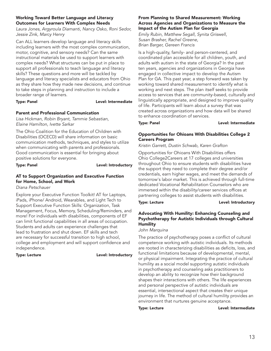### Working Toward Better Language and Literacy Outcomes for Learners With Complex Needs

*Laura Jones, Argyroula Diamanti, Nancy Osko, Roni Sedor, Jessie Zink, Marcy Henry*

Can ALL learners develop language and literacy skills including learners with the most complex communication, motor, cognitive, and sensory needs? Can the same instructional materials be used to support learners with complex needs? What structures can be put in place to support all professionals to teach language and literacy skills? These questions and more will be tackled by language and literacy specialists and educators from Ohio as they share how they made new decisions, and continue to take steps in planning and instruction to include a broader range of learners.

### Type: Panel **Level:** Intermediate

# Parent and Professional Communication

*Lisa Hickman, Robin Bryant, Tammie Sebastian, Elaine Hamilton, Ivette Sarkar*

The Ohio Coalition for the Education of Children with Disabilities (OCECD) will share information on basic communication methods, techniques, and styles to utilize when communicating with parents and professionals. Good communication is essential for bringing about positive solutions for everyone.

Type: Panel **Level:** Introductory

# AT to Support Organization and Executive Function for Home, School, and Work

*Diana Petschauer*

Explore your Executive Function Toolkit! AT for Laptops, iPads, iPhone/ Android, Wearables, and Light Tech to Support Executive Function Skills: Organization, Task Management, Focus, Memory, Scheduling/Reminders, and more! For individuals with disabilities, components of EF can limit functional capabilities in all areas of occupation. Students and adults can experience challenges that lead to frustration and shut down. EF skills and tech are necessary for successful transition to high school, college and employment and will support confidence and independence.

Type: Lecture **Lexel:** Level: Introductory

### From Planning to Shared Measurement: Working Across Agencies and Organizations to Measure the Impact of the Autism Plan for Georgia

*Emily Rubin, Matthew Segall, Synita Griswell, Susan Brasher, Rachel Greene, Brian Barger, Gereen Francis*

Is a high-quality, family- and person-centered, and coordinated plan accessible for all children, youth, and adults with autism in the state of Georgia? In the past ten years, agencies and organizations in Georgia have engaged in collective impact to develop the Autism Plan for GA. This past year, a step forward was taken by working toward shared measurement to identify what is working and next steps. The plan itself seeks to provide access to services that are community-based, culturally and linguistically appropriate, and designed to improve quality of life. Participants will learn about a survey that was created across organizations and how data will be shared to enhance coordination of services.

Type: Panel **Level:** Intermediate

# Opportunities for Ohioans With Disabilities College 2 Careers Program

*Kristin Garrett, Dustin Schwab, Karen Grafton*

Opportunities for Ohioans With Disabilities offers Ohio College2Careers at 17 colleges and universities throughout Ohio to ensure students with disabilities have the support they need to complete their degree and/or credentials, earn higher wages, and meet the demands of tomorrow's labor market. This is achieved through full-time dedicated Vocational Rehabilitation Counselors who are immersed within the disability/career services offices at partnering colleges to assist students with disabilities.

Type: Lecture **Lexture Level: Introductory** 

# Advocating With Humility: Enhancing Counseling and Psychotherapy for Autistic Individuals through Cultural **Humility**

*John Marquina*

The practice of psychotherapy poses a conflict of cultural competence working with autistic individuals. Its methods are rooted in characterizing disabilities as deficits, loss, and functional limitations because of developmental, mental, or physical impairment. Integrating the practice of cultural humility as a social model supporting autistic individuals in psychotherapy and counseling asks practitioners to develop an ability to recognize how their background shapes their interactions with others. The life experiences and personal perspective of autistic individuals are essential, intersectional aspect that creates their unique journey in life. The method of cultural humility provides an environment that nurtures genuine acceptance.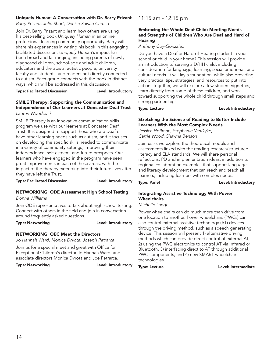# Uniquely Human: A Conversation with Dr. Barry Prizant

*Barry Prizant, Julie Short, Denise Sawan Caruso*

Join Dr. Barry Prizant and learn how others are using his best-selling book *Uniquely Human* in an online professional learning community opportunity. Barry will share his experiences in writing his book in this engaging facilitated discussion. *Uniquely Human's* impact has been broad and far ranging, including parents of newly diagnosed children, school-age and adult children, educators and therapists, autistic people, university faculty and students, and readers not directly connected to autism. Each group connects with the book in distinct ways, which will be addressed in this discussion.

Type: Facilitated Discussion Level: Introductory

### SMILE Therapy: Supporting the Communication and Independence of Our Learners at Doncaster Deaf Trust *Lauren Woodcock*

SMILE Therapy is an innovative communication skills program we use with our learners at Doncaster Deaf Trust. It is designed to support those who are Deaf or have other learning needs such as autism, and it focuses on developing the specific skills needed to communicate in a variety of community settings, improving their independence, self-esteem, and future prospects. Our learners who have engaged in the program have seen great improvements in each of these areas, with the impact of the therapy extending into their future lives after they have left the Trust.

Type: Facilitated Discussion Level: Introductory

### NETWORKING: ODE Assessment High School Testing *Donna Williams*

Join ODE representatives to talk about high school testing. Connect with others in the field and join in conversation around frequently asked questions.

Type: Networking and a controller controller be the Level: Introductory

# NETWORKING: OEC Meet the Directors

*Jo Hannah Ward, Monica Drvota, Joseph Petrarca*

Join us for a special meet and greet with Office for Exceptional Children's director Jo Hannah Ward, and associate directors Monica Dvrota and Joe Petrarca.

Type: Networking and a controller controller between Level: Introductory

# 11:15 am - 12:15 pm

# Embracing the Whole Deaf Child: Meeting Needs and Strengths of Children Who Are Deaf and Hard of **Hearing**

# *Anthony Coy-Gonzalez*

Do you have a Deaf or Hard-of-Hearing student in your school or child in your home? This session will provide an introduction to serving a D/HH child, including consideration for language, learning, social emotional, and cultural needs. It will lay a foundation, while also providing very practical tips, strategies, and resources to put into action. Together, we will explore a few student vignettes, learn directly from some of these children, and work toward supporting the whole child through small steps and strong partnerships.

Type: Lecture **Lexture Level: Introductory** 

# Stretching the Science of Reading to Better Include Learners With the Most Complex Needs

*Jessica Hoffman, Stephanie VanDyke, Carrie Wood, Shawna Benson*

Join us as we explore the theoretical models and assessments linked with the reading research/structured literacy and ELA standards. We will share personal reflections, PD and implementation ideas, in addition to regional collaboration examples that support language and literacy development that can reach and teach all learners, including learners with complex needs.

Type: Panel **Level: Introductory** 

# Integrating Assistive Technology With Power **Wheelchairs**

# *Michelle Lange*

Power wheelchairs can do much more than drive from one location to another. Power wheelchairs (PWCs) can also control external assistive technology (AT) devices through the driving method, such as a speech generating device. This session will present 1) alternative driving methods which can provide direct control of external AT, 2) using the PWC electronics to control AT via Infrared or Bluetooth, 3) interfacing direct to AT through additional PWC components, and 4) new SMART wheelchair technologies.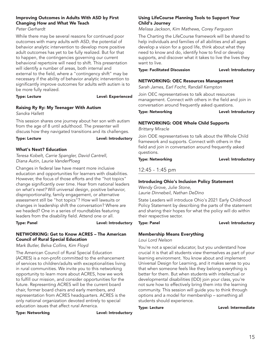# Improving Outcomes in Adults With ASD by First Changing How and What We Teach

*Peter Gerhardt*

While there may be several reasons for continued poor outcomes with many adults with ASD, the potential of behavior analytic intervention to develop more positive adult outcomes has yet to be fully realized. But for that to happen, the contingencies governing our current behavioral repertoire will need to shift. This presentation will identify a number of areas, both internal and external to the field, where a "contingency shift" may be necessary if the ability of behavior analytic intervention to significantly improve outcomes for adults with autism is to be more fully realized.

# Type: Lecture **Lexperienced**

# Raising Ry Ry: My Teenager With Autism

*Sandra Hallett*

This session shares one journey about her son with autism from the age of 8 until adulthood. The presenter will discuss how they navigated transitions and its challenges.

Type: Lecture **Lexel:** Level: Introductory

# What's Next? Education

*Teresa Kobelt, Carrie Spangler, David Cantrell, Diana Autin, Laurie VanderPloeg*

Changes in federal law have meant more inclusive education and opportunities for learners with disabilities. However, the focus of those efforts and the "hot topics" change significantly over time. Hear from national leaders on *what's next?* Will universal design, positive behavior, disproportionality, family engagement, or alternative assessment still be "hot topics"? How will lawsuits or changes in leadership shift the conversation? Where are we headed? One in a series of roundtables featuring leaders from the disability field. Attend one or all.

# Type: Panel **Level: Introductory**

NETWORKING: Get to Know ACRES – The American Council of Rural Special Education

*Mark Butler, Belva Collins, Kim Floyd*

The American Council of Rural Special Education (ACRES) is a non-profit committed to the enhancement of services to children/adults with exceptionalities living in rural communities. We invite you to this networking opportunity to learn more about ACRES, how we work to fulfill our mission, and consider opportunities for the future. Representing ACRES will be the current board chair, former board chairs and early members, and representation from ACRES headquarters. ACRES is the only national organization devoted entirely to special education issues that affect rural America.

Type: Networking and a controller controller benefits that the Level: Introductory

# Using LifeCourse Planning Tools to Support Your Child's Journey

*Melissa Jackson, Kim Mathews, Corey Ferguson*

The Charting the LifeCourse framework will be shared to help individuals and families of all abilities and all ages develop a vision for a good life, think about what they need to know and do, identify how to find or develop supports, and discover what it takes to live the lives they want to live.

Type: Facilitated Discussion Level: Introductory

# NETWORKING: OEC Resources Management

*Sarah James, Earl Focht, Randall Kempton*

Join OEC representatives to talk about resources management. Connect with others in the field and join in conversation around frequently asked questions.

Type: Networking **Level: Introductory** 

# NETWORKING: ODE Whole Child Supports

*Brittany Miracle*

Join ODE representatives to talk about the Whole Child framework and supports. Connect with others in the field and join in conversation around frequently asked questions.

Type: Networking Type: Networking

# 12:45 - 1:45 pm

# Introducing Ohio's Inclusion Policy Statement

*Wendy Grove, Julie Stone, Laurie Dinnebeil, Nathan DeDino*

State Leaders will introduce Ohio's 2021 Early Childhood Policy Statement by describing the parts of the statement and sharing their hopes for what the policy will do within their respective sector.

Type: Panel **Level: Introductory** 

# Membership Means Everything

*Loui Lord Nelson*

You're not a special educator, but you understand how crucial it is that all students view themselves as part of your learning environment. You know about and implement Universal Design for Learning, and it makes sense to you that when someone feels like they belong everything is better for them. But when students with intellectual or developmental disabilities (IDD) join your class, you're not sure how to effectively bring them into the learning community. This session will guide you to think through options and a model for membership – something all students should experience.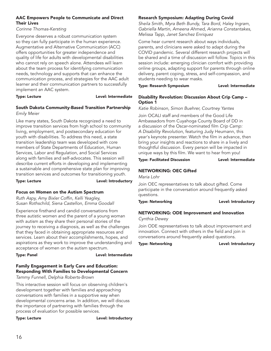# AAC Empowers People to Communicate and Direct Their Lives

*Corinne Thomas-Kersting*

Everyone deserves a robust communication system so they can fully participate in the human experience. Augmentative and Alternative Communication (ACC) offers opportunities for greater independence and quality of life for adults with developmental disabilities who cannot rely on speech alone. Attendees will learn about the team process for identifying communication needs, technology and supports that can enhance the communication process, and strategies for the AAC adult learner and their communication partners to successfully implement an AAC system.

### Type: Lecture **Lexel:** Level: Intermediate

### South Dakota Community-Based Transition Partnership *Emily Meier*

Like many states, South Dakota recognized a need to improve transition services from high school to community living, employment, and postsecondary education for youth with disabilities. To address this need, a state transition leadership team was developed with core members of State Departments of Education, Human Services, Labor and Regulation, and Social Services along with families and self-advocates. This session will describe current efforts in developing and implementing a sustainable and comprehensive state plan for improving transition services and outcomes for transitioning youth.

Type: Lecture **Lexel:** Level: Introductory

# Focus on Women on the Autism Spectrum

*Ruth Aspy, Amy Bixler Coffin, Kelli Yeagley, Susan Rothschild, Siena Castellon, Emma Goodall*

Experience firsthand and candid conversations from three autistic women and the parent of a young woman with autism as they share their personal stories of the journey to receiving a diagnosis, as well as the challenges that they faced in obtaining appropriate resources and services. Learn about their accomplishments, hopes, and aspirations as they work to improve the understanding and acceptance of women on the autism spectrum.

Type: Panel **Level:** Intermediate

# Family Engagement in Early Care and Education: Responding With Families to Developmental Concern

*Tammy Funnell, Delphia Roberts-Brown*

This interactive session will focus on observing children's development together with families and approaching conversations with families in a supportive way when developmental concerns arise. In addition, we will discuss the importance of partnering with families through the process of evaluation for possible services.

Type: Lecture **Lexel:** Level: Introductory

# Research Symposium: Adapting During Covid

*Sheila Smith, Myra Beth Bundy, Tara Bord, Haley Ingram, Gabriella Martin, Ameena Ahmed, Arianna Constantakes, Melissa Tapp, Janet Sanchez Enriquez*

Come hear current research about ways individuals, parents, and clinicians were asked to adapt during the COVID pandemic. Several different research projects will be shared and a time of discussion will follow. Topics in this session include: emerging clinician comfort with providing online groups, adapting support for parents through online delivery, parent coping, stress, and self-compassion, and students needing to wear masks.

Type: Research Symposium Level: Intermediate

### Disability Revolution: Discussion About Crip Camp – Option 1

*Katie Robinson, Simon Buehrer, Courtney Yantes*

Join OCALI staff and members of the Good Life Ambassadors from Cuyahoga County Board of DD in a discussion of the Oscar-nominated film *Crip Camp: A Disability Revolution*, featuring Judy Heumann, this year's keynote presenter. Watch the film in advance, then bring your insights and reactions to share in a lively and thoughtful discussion. Every person will be impacted in unique ways by this film. We want to hear from you!

### Type: Facilitated Discussion Level: Intermediate

# NETWORKING: OEC Gifted

*Maria Lohr*

Join OEC representatives to talk about gifted. Come participate in the conversation around frequently asked questions.

Type: Networking and all the controller that the Level: Introductory

# NETWORKING: ODE Improvement and Innovation

*Cynthia Dewey*

Join ODE representatives to talk about improvement and innovation. Connect with others in the field and join in conversations around frequently asked questions.

Type: Networking and a controller controller that the Level: Introductory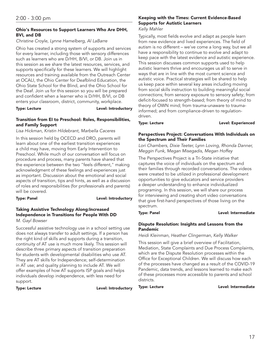# Ohio's Resources to Support Learners Who Are DHH, BVI, and DB

# *Christine Croyle, Lynne Hamelberg, Al LaBarre*

Ohio has created a strong system of supports and services for every learner, including those with sensory differences such as learners who are D/HH, B/VI, or DB. Join us in this session as we share the latest resources, services, and supports specifically for these learners. We will highlight resources and training available from the Outreach Center at OCALI, the Ohio Center for Deafblind Education, the Ohio State School for the Blind, and the Ohio School for the Deaf. Join us for this session so you will be prepared and confident when a learner who is D/HH, B/VI, or DB enters your classroom, district, community, workplace.

Type: Lecture **Lexel:** Level: Introductory

### Transition from EI to Preschool: Roles, Responsibilities, and Family Support

*Lisa Hickman, Kristin Hildebrant, Marbella Caceres*

In this session held by OCECD and DRO, parents will learn about one of the earliest transition experiences a child may have, moving from Early Intervention to Preschool. While much of our conversation will focus on procedure and process, many parents have shared that the experience between the two "feels different," making acknowledgment of these feelings and experiences just as important. Discussion about the emotional and social aspects of transition, tips and hints, as well as a discussion of roles and responsibilities (for professionals and parents) will be covered.

# Type: Panel **Level:** Introductory

# Taking Assistive Technology Along:Increased Independence in Transitions for People With DD

*M. Gayl Bowser*

Successful assistive technology use in a school setting use does not always transfer to adult settings. If a person has the right kind of skills and supports during a transition, continuity of AT use is much more likely. This session will describe three primary aspects of transition preparation for students with developmental disabilities who use AT. They are AT skills for Independence; self-determination in AT use; and quality planning to include AT. We will offer examples of how AT supports ISP goals and helps individuals develop independence, with less need for support.

Type: Lecture **Level:** Introductory

# Keeping with the Times: Current Evidence-Based Supports for Autistic Learners

### *Kelly Mahler*

Typically, most fields evolve and adapt as people learn from new evidence and lived experiences. The field of autism is no different – we've come a long way, but we all have a responsibility to continue to evolve and adapt to keep pace with the latest evidence and autistic experience. This session discusses common supports used to help autistic learners thrive and encourages us all to serve in ways that are in line with the most current science and autistic voice. Practical strategies will be shared to help us keep pace within several key areas including moving from social skills instruction to building meaningful social connections; from sensory exposure to sensory safety; from deficit-focused to strength-based; from theory of mind to theory of OWN mind; from trauma-unaware to traumainformed; and from compliance-driven to regulationdriven.

Type: Lecture **Lexperienced** 

### Perspectives Project: Conversations With Individuals on the Spectrum and Their Families

*Lori Chambers, Dixie Teeter, Lynn Loving, Rhonda Danner, Meggin Funk, Megan Misegadis, Megan Hoffey*

The Perspectives Project is a Tri-State initiative that captures the voice of individuals on the spectrum and their families through recorded conversations. The videos were created to be utilized in professional development opportunities to give educators and service providers a deeper understanding to enhance individualized programing. In this session, we will share our process for interviewing and creating short video conversations that give first-hand perspectives of those living on the spectrum.

Type: Panel **Lexel:** Level: Intermediate

# Dispute Resolution: Insights and Lessons from the Pandemic

*Heidi Kleinman, Heather Clingerman, Kelly Walker*

This session will give a brief overview of Facilitation, Mediation, State Complaints and Due Process Complaints, which are the Dispute Resolution processes within the Office for Exceptional Children. We will discuss how each of the processes have changed as a result of the COVID-19 Pandemic, data trends, and lessons learned to make each of these processes more accessible to parents and school districts.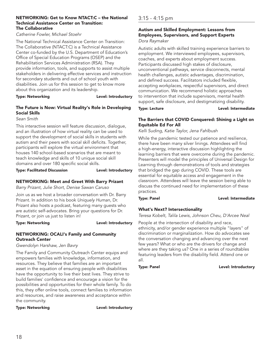### NETWORKING: Get to Know NTACT:C – the National Technical Assistance Center on Transition: The Collaborative

### *Catherine Fowler, Michael Stoehr*

The National Technical Assistance Center on Transition: The Collaborative (NTACT:C) is a Technical Assistance Center co-funded by the U.S. Department of Education's Office of Special Education Programs (OSEP) and the Rehabilitation Services Administration (RSA). They provide information, tools, and supports to assist multiple stakeholders in delivering effective services and instruction for secondary students and out of school youth with disabilities. Join us for this session to get to know more about this organization and its leadership.

### Type: Networking and a controller controller benefits that the Level: Introductory

### The Future is Now: Virtual Reality's Role in Developing Social Skills

*Sean Smith*

This interactive session will feature discussion, dialogue, and an illustration of how virtual reality can be used to support the development of social skills in students with autism and their peers with social skill deficits. Together, participants will explore the virtual environment that houses 140 school-based scenarios that are meant to teach knowledge and skills of 10 unique social skill domains and over 180 specific social skills.

### Type: Facilitated Discussion Level: Introductory

# NETWORKING: Meet and Greet With Barry Prizant

*Barry Prizant, Julie Short, Denise Sawan Caruso*

Join us as we host a broader conversation with Dr. Barry Prizant. In addition to his book *Uniquely Human*, Dr. Prizant also hosts a podcast, featuring many guests who are autistic self-advocates. Bring your questions for Dr. Prizant, or join us just to listen in!

Type: Networking and a controller controller be the Level: Introductory

### NETWORKING: OCALI's Family and Community Outreach Center

*Gwendolyn Harshaw, Jen Bavry*

The Family and Community Outreach Center equips and empowers families with knowledge, information, and resources. They believe that families are an important asset in the equation of ensuring people with disabilities have the opportunity to live their best lives. They strive to build families' confidence and encourage a vision for the possibilities and opportunities for their whole family. To do this, they offer online tools, connect families to information and resources, and raise awareness and acceptance within the community.

Type: Networking and a controller controller between Level: Introductory

# 3:15 - 4:15 pm

### Autism and Skilled Employment: Lessons from Employees, Supervisors, and Support Experts *Dora Raymaker*

Autistic adults with skilled training experience barriers to employment. We interviewed employees, supervisors, coaches, and experts about employment success. Participants discussed high stakes of disclosure, unconventional pathways, service disconnects, mental health challenges, autistic advantages, discrimination, and defined success. Facilitators included flexible, accepting workplaces, respectful supervisors, and direct communication. We recommend holistic approaches to intervention that include supervisors, mental health support, safe disclosure, and destigmatizing disability.

Type: Lecture **Lexel:** Level: Intermediate

# The Barriers that COVID Conquered: Shining a Light on Equitable Ed For All

*Kelli Suding, Katie Taylor, Jena Fahlbush*

While the pandemic tested our patience and resilience, there have been many silver linings. Attendees will find a high-energy, interactive discussion highlighting the learning barriers that were overcome during the pandemic. Presenters will model the principles of Universal Design for Learning through demonstrations of tools and strategies that bridged the gap during COVID. These tools are essential for equitable access and engagement in the classroom. Attendees will leave the session being able to discuss the continued need for implementation of these practices.

### Type: Panel **Level:** Intermediate

# What's Next? Intersectionality

*Teresa Kobelt, Talila Lewis, Johnson Cheu, D'Arcee Neal*

People at the intersection of disability and race, ethnicity, and/or gender experience multiple "layers" of discrimination or marginalization. How do advocates see the conversation changing and advancing over the next few years? What or who are the drivers for change and where are they taking us? One in a series of roundtables featuring leaders from the disability field. Attend one or all.

Type: Panel **Level:** Introductory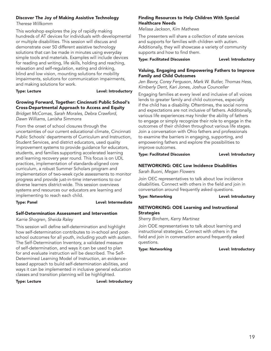# Discover The Joy of Making Assistive Technology

*Therese Willkomm*

This workshop explores the joy of rapidly making hundreds of AT devices for individuals with developmental or multiple disabilities. This session will discuss and demonstrate over 50 different assistive technology solutions that can be made in minutes using everyday simple tools and materials. Examples will include devices for reading and writing, life skills, holding and reaching, relaxation and self-regulation, eating and drinking, blind and low vision, mounting solutions for mobility impairments, solutions for communication impairments, and making solutions for work.

Type: Lecture **Lexel:** Level: Introductory

# Growing Forward, Together: Cincinnati Public School's Cross-Departmental Approach to Access and Equity

*Bridget McComas, Sarah Morales, Debra Crawford, Dawn Williams, Lanisha Simmons*

From the onset of school closures through the uncertainties of our current educational climate, Cincinnati Public Schools' departments of Curriculum and Instruction, Student Services, and district educators, used quality improvement systems to provide guidance for educators, students, and families supporting accelerated learning and learning recovery year round. This focus is on UDL practices, implementation of standards-aligned core curriculum, a robust Summer Scholars program and implementation of two-week cycle assessments to monitor progress and provide just-in-time interventions to our diverse learners district-wide. This session overviews systems and resources our educators are learning and implementing to reach each child.

Type: Panel **Lexel:** Level: Intermediate

# Self-Determination Assessment and Intervention

# *Karrie Shogren, Sheida Raley*

This session will define self-determination and highlight how self-determination contributes to in-school and postschool outcomes for all youth, including youth with autism. The Self-Determination Inventory, a validated measure of self-determination, and ways it can be used to plan for and evaluate instruction will be described. The Self-Determined Learning Model of Instruction, an evidencebased approach to build self-determination abilities, and ways it can be implemented in inclusive general education classes and transition planning will be highlighted.

Type: Lecture **Lexel:** Level: Introductory

# Finding Resources to Help Children With Special Healthcare Needs

*Melissa Jackson, Kim Mathews*

The presenters will share a collection of state services and supports for families with children with autism. Additionally, they will showcase a variety of community supports and how to find them.

Type: Facilitated Discussion Level: Introductory

# Valuing, Engaging and Empowering Fathers to Improve Family and Child Outcomes

*Jen Bavry, Corey Ferguson, Mark W. Butler, Thomas Hess, Kimberly Dent, Kari Jones, Joshua Counceller*

Engaging families at every level and inclusive of all voices lends to greater family and child outcomes, especially if the child has a disability. Oftentimes, the social norms and expectations are not inclusive of fathers. Additionally, various life experiences may hinder the ability of fathers to engage or simply recognize their role to engage in the outcomes of their children throughout various life stages. Join a conversation with Ohio fathers and professionals to examine the barriers in engaging, supporting, and empowering fathers and explore the possibilities to improve outcomes.

Type: Facilitated Discussion Type: Level: Introductory

# NETWORKING: OEC Low Incidence Disabilities

*Sarah Buoni, Megan Flowers*

Join OEC representatives to talk about low incidence disabilities. Connect with others in the field and join in conversation around frequently asked questions.

Type: Networking and all the controller controller that the Level: Introductory

# NETWORKING: ODE Learning and Instructional **Strategies**

*Sherry Birchem, Kerry Martinez*

Join ODE representatives to talk about learning and instructional strategies. Connect with others in the field and join in conversation around frequently asked questions.

Type: Networking and a controller controller that the Level: Introductory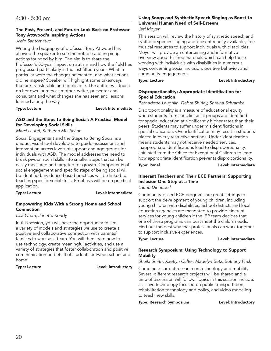# The Past, Present, and Future: Look Back on Professor Tony Attwood's Inspiring Actions

### *Josie Santomauro*

Writing the biography of professor Tony Attwood has allowed the speaker to see the notable and inspiring actions founded by him. The aim is to share the Professor's 50-year impact on autism and how the field has progressed particularly in the last fifteen years. What in particular were the changes he created, and what actions did he inspire? Speaker will highlight some takeaways that are transferable and applicable. The author will touch on her own journey as mother, writer, presenter and consultant and what changes she has seen and lessons learned along the way.

Type: Lecture **Lexel:** Level: Intermediate

# ASD and the Steps to Being Social: A Practical Model for Developing Social Skills

*Marci Laurel, Kathleen Mo Taylor*

Social Engagement and the Steps to Being Social is a unique, visual tool developed to guide assessment and intervention across levels of support and age groups for individuals with ASD. The model addresses the need to break pivotal social skills into smaller steps that can be easily measured and targeted for growth. Components of social engagement and specific steps of being social will be identified. Evidence-based practices will be linked to teaching specific social skills. Emphasis will be on practical application.

### Type: Lecture **Lexel:** Level: Intermediate

# Empowering Kids With a Strong Home and School Connection

# *Lisa Orem, Janette Rondy*

In this session, you will have the opportunity to see a variety of models and strategies we use to create a positive and collaborative connection with parents/ families to work as a team. You will then learn how to use technology, create meaningful activities, and use a variety of strategies that foster collaboration and positive communication on behalf of students between school and home.

Type: Lecture **Lexel:** Level: Introductory

# Using Songs and Synthetic Speech Singing as Boost to Universal Human Need of Self-Esteem

*Jeff Moyer*

This session will review the history of synthetic speech and synthetic speech singing and present readily-available, free musical resources to support individuals with disabilities. Moyer will provide an entertaining and informative overview about his free materials which can help those working with individuals with disabilities in numerous ways concerning social inclusion, positive behavior, and community engagement.

Type: Lecture **Lexture Level: Introductory** 

# Disproportionality: Appropriate Identification for Special Education

*Bernadette Laughlin, Debra Shirley, Shauna Schramke*

Disproportionality is a measure of educational equity when students from specific racial groups are identified for special education at significantly higher rates than their peers. Students may suffer under misidentifications in special education. Overidentification may result in students placed in overly restrictive settings. Under-identification means students may not receive needed services. Inappropriate identifications lead to disproportionality. Join staff from the Office for Exceptional Children to learn how appropriate identification prevents disproportionality.

Type: Panel **Lexel:** Level: Intermediate

# Itinerant Teachers and Their ECE Partners: Supporting Inclusion One Step at a Time

*Laurie Dinnebeil*

Community-based ECE programs are great settings to support the development of young children, including young children with disabilities. School districts and local education agencies are mandated to provide itinerant services for young children if the IEP team decides that one of these programs can best meet the child's needs. Find out the best way that professionals can work together to support inclusive experiences.

Type: Lecture **Lexel:** Level: Intermediate

# Research Symposium: Using Technology to Support **Mobility**

*Sheila Smith, Kaetlyn Culter, Madelyn Betz, Bethany Frick*

Come hear current research on technology and mobility. Several different research projects will be shared and a time of discussion will follow. Topics in this session include: assistive technology focused on public transportation, rehabilitation technology and policy, and video modeling to teach new skills.

Type: Research Symposium Level: Introductory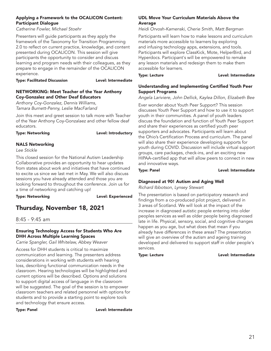# Applying a Framework to the OCALICON Content: Participant Dialogue

*Catherine Fowler, Michael Stoehr*

Presenters will guide participants as they apply the framework of the Taxonomy for Transition Programming 2.0 to reflect on current practice, knowledge, and content presented during OCALICON. This session will give participants the opportunity to consider and discuss learning and program needs with their colleagues, as they prepare to engage in the remainder of the OCALICON experience.

Type: Facilitated Discussion Level: Intermediate

# NETWORKING: Meet Teacher of the Year Anthony Coy-Gonzalez and Other Deaf Educators

*Anthony Coy-Gonzalez, Dennis Williams, Tamara Burnett-Penny, Leslie MacFarland*

Join this meet and greet session to talk more with Teacher of the Year Anthony Coy-Gonzalaez and other fellow deaf educators.

### Type: Networking **Level:** Level: Introductory

# NALS Networking

*Lee Stickle*

This closed session for the National Autism Leadership Collaborative provides an opportunity to hear updates from states about work and initiatives that have continued to excite us since we last met in May. We will also discuss sessions you have already attended and those you are looking forward to throughout the conference. Join us for a time of networking and catching up!

Type: Networking and Level: Experienced

# Thursday, November 18, 2021

# 8:45 - 9:45 am

# Ensuring Technology Access for Students Who Are DHH Across Multiple Learning Spaces

*Carrie Spangler, Gail Whitelaw, Abbey Weaver*

Access for DHH students is critical to maximize communication and learning. The presenters address considerations in working with students with hearing loss, describing functional communication needs in the classroom. Hearing technologies will be highlighted and current options will be described. Options and solutions to support digital access of language in the classroom will be suggested. The goal of the session is to empower classroom teachers and related personnel with options for students and to provide a starting point to explore tools and technology that ensure access.

Type: Panel **Level:** Intermediate

# UDL Move Your Curriculum Materials Above the **Average**

*Heidi Orvosh-Kamenski, Cherie Smith, Matt Bergman*

Participants will learn how to make lessons and curriculum materials more accessible to learners by exploring and infusing technology apps, extensions, and tools. Participants will explore ClassKick, Mote, HelperBird, and Hyperdocs. Participant's will be empowered to remake any lesson materials and redesign them to make them accessible for learners.

Type: Lecture **Lexture** Level: Intermediate

# Understanding and Implementing Certified Youth Peer Support Programs

*Angela Lariviere, John Dellick, Kaylea Dillon, Elizabeth Bee*

Ever wonder about Youth Peer Support? This session discusses Youth Peer Support and how to use it to support youth in their communities. A panel of youth leaders discuss the foundation and function of Youth Peer Support and share their experiences as certified youth peer supporters and advocates. Participants will learn about the Ohio's Certification Process and curriculum. The panel will also share their experience developing supports for youth during COVID. Discussion will include virtual support groups, care packages, check-ins, and an exciting new HIPAA-certified app that will allow peers to connect in new and innovative ways.

### Type: Panel **Level:** Intermediate

# Diagnosed at 90! Autism and Aging Well

*Richard Ibbotson, Lynsey Stewart*

The presentation is based on participatory research and findings from a co-produced pilot project, delivered in 3 areas of Scotland. We will look at the impact of the increase in diagnosed autistic people entering into older peoples services as well as older people being diagnosed late in life. Physical, sensory, social, and cognitive changes happen as you age, but what does that mean if you already have differences in these areas? The presentation will give an overview of the autism and ageing training developed and delivered to support staff in older people's services.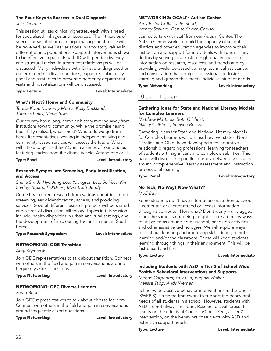# The Four Keys to Success in Dual Diagnosis

*Julie Gentile*

This session utilizes clinical vignettes, each with a need for specialized linkages and resources. The intricacies of specific areas of pharmacologic management for ID will be reviewed, as well as variations in laboratory values in different ethnic populations. Adapted interventions shown to be effective in patients with ID with gender diversity, and structural racism in treatment relationships will be discussed. Many individuals with ID have undiagnosed or undertreated medical conditions; expanded laboratory panel and strategies to prevent emergency department visits and hospitalizations will be discussed.

Type: Lecture **Lexel:** Level: Intermediate

# What's Next? Home and Community

*Teresa Kobelt, Jeremy Morris, Kelly Buckland, Thomas Foley, Maria Town*

Our country has a long, complex history moving away from institutions toward community. While the promise hasn't been fully realized, what's next? Where do we go from here? Representatives working in independent living and community-based services will discuss the future. What will it take to get us there? One in a series of roundtables featuring leaders from the disability field. Attend one or all.

Type: Panel **Level:** Introductory

# Research Symposium: Screening, Early Identification, and Access

*Sheila Smith, Hyo Jung Lee, Youngsun Lee, So Yoon Kim, Shirley Peganoff O'Brien, Myra Beth Bundy*

Come hear current research from various countries about screening, early identification, access, and providing services. Several different research projects will be shared and a time of discussion will follow. Topics in this session include: health disparities in urban and rural settings, and the development of a screening tool instrument in South Korea.

Type: Research Symposium Level: Intermediate

# NETWORKING: ODE Transition

*Amy Szymanski*

Join ODE representatives to talk about transition. Connect with others in the field and join in conversations around frequently asked questions.

Type: Networking and a controller controller that the Level: Introductory

# NETWORKING: OEC Diverse Learners

*Sarah Buoni*

Join OEC representatives to talk about diverse learners. Connect with others in the field and join in conversations around frequently asked questions.

Type: Networking and all the controller that the Level: Introductory

# NETWORKING: OCALI's Autism Center

*Amy Bixler Coffin, Julie Short, Wendy Szakacs, Denise Sawan Caruso*

Join us to talk with staff from our Autism Center. The Autism Center works to build the capacity of school districts and other education agencies to improve their instruction and support for individuals with autism. They do this by serving as a trusted, high-quality source of information on research, resources, and trends and by providing evidence-based training, technical assistance, and consultation that equips professionals to foster learning and growth that meets individual student needs.

Type: Networking and a controller controller that the Level: Introductory

# 10:00 - 11:00 am

# Gathering Ideas for State and National Literacy Models for Complex Learners

*Matthew Martinez, Beth Gilchrist, Nancy Childress, Shawna Benson*

Gathering Ideas for State and National Literacy Models for Complex Learners will discuss how two states, North Carolina and Ohio, have developed a collaborative relationship regarding professional learning for teachers of students with significant and complex disabilities. This panel will discuss the parallel journey between two states around comprehensive literacy assessment and instruction professional learning.

Type: Panel **Level: Introductory** 

# No Tech, No Way! Now What??

*MoE Buti*

Some students don't have internet access at home/school, a computer, or cannot attend or access information through a computer. Now what? Don't worry – unplugged is not the same as not being taught. There are many ways to utilize items around home/school, hands-on activities, and other assistive technologies. We will explore ways to continue learning and improving skills during remote learning and/or the classroom. These will keep students learning through things in their environment. This will be fast-paced and fun!

Type: Lecture **Lexel:** Level: Intermediate

# Including Students with ASD in Tier 2 of School-Wide Positive Behavioral Interventions and Supports

*Megan Carpenter, Ya-yu Lo, Virginia Walker, Melissa Tapp, Andy Werner*

School-wide positive behavior interventions and supports (SWPBIS) is a tiered framework to support the behavioral needs of all students in a school. However, students with ASD are not always included. Researchers will present results on the effects of Check-In/Check-Out, a Tier 2 intervention, on the behaviors of students with ASD and extensive support needs.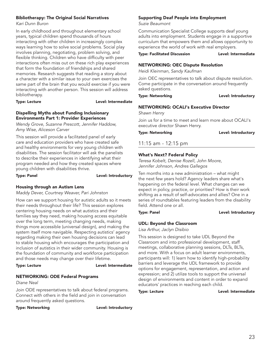# Bibliotherapy: The Original Social Narratives

*Kari Dunn Buron*

In early childhood and throughout elementary school years, typical children spend thousands of hours interacting with other children in increasingly complex ways learning how to solve social problems. Social play involves planning, negotiating, problem solving, and flexible thinking. Children who have difficulty with peer interactions often miss out on these rich play experiences that form the foundation of friendships and shared memories. Research suggests that reading a story about a character with a similar issue to your own exercises the same part of the brain that you would exercise if you were interacting with another person. This session will address bibliotherapy.

### Type: Lecture **Lexture** Level: Intermediate

### Dispelling Myths about Funding Inclusionary Environments Part 1: Provider Experiences

*Wendy Grove, Suzanne Prescott, Jennifer Haddow, Amy Wise, Aliceson Carver*

This session will provide a facilitated panel of early care and education providers who have created safe and healthy environments for very young children with disabilities. The session facilitator will ask the panelists to describe their experiences in identifying what their program needed and how they created spaces where young children with disabilities thrive.

Type: Panel **Level:** Introductory

# Housing through an Autism Lens

*Maddy Dever, Courtney Weaver, Pari Johnston*

How can we support housing for autistic adults so it meets their needs throughout their life? This session explores centering housing needs on what autistics and their families say they need, making housing access equitable over the long term, meeting changing needs, making things more accessible (universal design), and making the system itself more navigable. Respecting autistics' agency regarding making their own housing decisions can lead to stable housing which encourages the participation and inclusion of autistics in their wider community. Housing is the foundation of community and workforce participation and those needs may change over their lifetime.

### Type: Lecture Level: Intermediate

# NETWORKING: ODE Federal Programs

*Diane Neal*

Join ODE representatives to talk about federal programs. Connect with others in the field and join in conversation around frequently asked questions.

Type: Networking and a controller controller that the Level: Introductory

# Supporting Deaf People into Employment

*Suzie Beaumont*

Communication Specialist College supports deaf young adults into employment. Students engage in a supportive curriculum that empowers them and allows opportunity to experience the world of work with real employers.

### Type: Facilitated Discussion Level: Intermediate

# NETWORKING: OEC Dispute Resolution

*Heidi Kleinman, Sandy Kaufman*

Join OEC representatives to talk about dispute resolution. Come participate in the conversation around frequently asked questions.

### Type: Networking and a controller controller that the Level: Introductory

# NETWORKING: OCALI's Executive Director

*Shawn Henry*

Join us for a time to meet and learn more about OCALI's executive director Shawn Henry.

Type: Networking and all the controller that the Level: Introductory

# 11:15 am - 12:15 pm

# What's Next? Federal Policy

*Teresa Kobelt, Denise Rozell, John Moore, Jennifer Johnson, Andres Gallegos*

Ten months into a new administration – what might the next few years hold? Agency leaders share what's happening on the federal level. What changes can we expect in policy, practice, or priorities? How is their work shifting as a result of self-advocates and allies? One in a series of roundtables featuring leaders from the disability field. Attend one or all.

### Type: Panel **Level: Introductory**

# UDL: Beyond the Classroom

*Lisa Arthur, Jaclyn Disibio*

This session is designed to take UDL Beyond the Classroom and into professional development, staff meetings, collaborative planning sessions, DLTs, BLTs, and more. With a focus on adult learner environments, participants will: 1) learn how to identify high-probability barriers and leverage the UDL framework to provide options for engagement, representation, and action and expression; and 2) utilize tools to support the universal design of environments and content in order to expand educators' practices in reaching each child.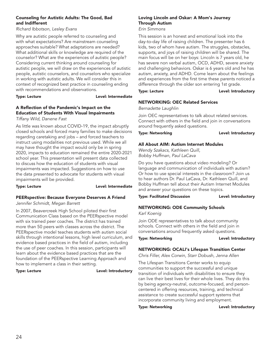# Counseling for Autistic Adults: The Good, Bad and Indifferent

*Richard Ibbotson, Lesley Evans*

Why are autistic people referred to counseling and with what expectations? Are mainstream counseling approaches suitable? What adaptations are needed? What additional skills or knowledge are required of the counselor? What are the experiences of autistic people? Considering current thinking around counseling for autistic people, we will draw on the experiences of autistic people, autistic counselors, and counselors who specialize in working with autistic adults. We will consider this in context of recognized best practice in counseling ending with recommendations and observations.

### Type: Lecture **Lexel:** Level: Intermediate

# A Reflection of the Pandemic's Impact on the Education of Students With Visual Impairments

*Tiffany Wild, Danene Fast*

As little was known about COVID-19, the impact abruptly closed schools and forced many families to make decisions regarding caretaking and jobs – and forced teachers to instruct using modalities not previous used. While we all may have thought the impact would only be in spring 2020, impacts to education remained the entire 2020-2021 school year. This presentation will present data collected to discuss how the education of students with visual impairments was impacted. Suggestions on how to use the data presented to advocate for students with visual impairments will be provided.

Type: Lecture **Lexel:** Level: Intermediate

### PEERspective: Because Everyone Deserves A Friend *Jennifer Schmidt, Megan Barrett*

In 2007, Beavercreek High School piloted their first Communication Class based on the PEERspective model with six trained peer coaches. The district has trained more than 50 peers with classes across the district. The PEERspective model teaches students with autism social skills through intentional lessons, high level curriculum, and evidence based practices in the field of autism, including the use of peer coaches. In this session, participants will learn about the evidence based practices that are the foundation of the PEERspective Learning Approach and how to implement a class in their setting.

### Type: Lecture **Lexel:** Level: Introductory

# Loving Lincoln and Oskar: A Mom's Journey Through Autism

This session is an honest and emotional look into the

*Erin Simmons*

day-to-day life of raising children. The presenter has 6 kids, two of whom have autism. The struggles, obstacles, supports, and joys of raising children will be shared. The main focus will be on her boys: Lincoln is 7 years old, he has severe non verbal autism, OCD, ADHD, severe anxiety and challenging behaviors. Oskar is 6 years old and he has autism, anxiety, and ADHD. Come learn about the feelings and experiences from the first time these parents noticed a difference through the older son entering 1st grade.

### Type: Lecture **Lexel:** Level: Introductory

# NETWORKING: OEC Related Services

*Bernadette Laughlin*

Join OEC representatives to talk about related services. Connect with others in the field and join in conversations around frequently asked questions.

### Type: Networking **Level: Introductory**

# All About AIM: Autism Internet Modules

*Wendy Szakacs, Kathleen Quill, Bobby Huffman, Paul LaCava*

Do you have questions about video modeling? Or language and communication of individuals with autism? Or how to use special interests in the classroom? Join us to hear authors Dr. Paul LaCava, Dr. Kathleen Quill, and Bobby Huffman tell about their Autism Internet Modules and answer your questions on these topics.

Type: Facilitated Discussion Level: Introductory

# NETWORKING: ODE Community Schools

*Karl Koenig*

Join ODE representatives to talk about community schools. Connect with others in the field and join in conversations around frequently asked questions.

Type: Networking and a controller controller be the Level: Introductory

# NETWORKING: OCALI's Lifespan Transition Center

*Chris Filler, Alex Corwin, Starr Dobush, Jenna Allen*

The Lifespan Transitions Center works to equip communities to support the successful and unique transition of individuals with disabilities to ensure they can live their best lives for their whole lives. They do this by being agency-neutral, outcome-focused, and personcentered in offering resources, training, and technical assistance to create successful support systems that incorporate community living and employment.

Type: Networking and Level: Introductory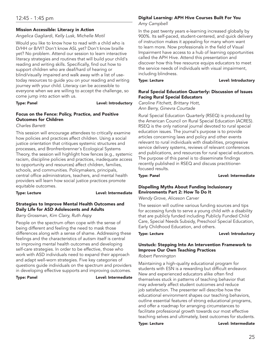# Mission Accessible: Literacy in Action

*Angelica Gagliardi, Kelly Lusk, Michelle Motil*

Would you like to know how to read with a child who is D/HH or B/VI? Don't know ASL yet? Don't know braille yet? No problem. Attend our session to learn interactive literacy strategies and routines that will build your child's reading and writing skills. Specifically, find out how to support children who are deaf/hard of hearing or blind/visually impaired and walk away with a list of usetoday resources to guide you on your reading and writing journey with your child. Literacy can be accessible to everyone when we are willing to accept the challenge, so come jump into action with us.

Type: Panel **Level: Introductory** 

# Focus on the Fence: Policy, Practice, and Positive Outcomes for Children

*Charles Barrett*

This session will encourage attendees to critically examine how policies and practices affect children. Using a social justice orientation that critiques systemic structures and processes, and Bronfrenbrenner's Ecological Systems Theory, the session will highlight how fences (e.g., systemic racism, discipline policies and practices, inadequate access to opportunity and resources) affect children, families, schools, and communities. Policymakers, principals, central office administrators, teachers, and mental health providers will learn how social justice practices promote equitable outcomes.

### Type: Lecture **Lexel:** Level: Intermediate

# Strategies to Improve Mental Health Outcomes and Daily Life for ASD Adolescents and Adults

### *Barry Grossman, Kim Clairy, Ruth Aspy*

People on the spectrum often cope with the sense of being different and feeling the need to mask those differences along with a sense of shame. Addressing these feelings and the characteristics of autism itself is central to improving mental health outcomes and developing self-care strategies. In order to be effective, those who work with ASD individuals need to expand their approach and adapt well-worn strategies. Five key categories of questions guide individuals on the spectrum and providers in developing effective supports and improving outcomes.

Type: Panel **Level:** Intermediate

# Digital Learning: APH Hive Courses Built For You

*Amy Campbell*

In the past twenty years e-learning increased globally by 900%. Its self-paced, student-centered, and quick delivery of instruction makes it appealing for many whom want to learn more. Now professionals in the field of Visual Impairment have access to a hub of learning opportunities called the APH Hive. Attend this presentation and discover how this free resource equips educators to meet the service needs of individuals with visual impairment, including blindness.

Type: Lecture **Lexel:** Level: Introductory

# Rural Special Education Quarterly: Discussion of Issues Facing Rural Special Educators

*Caroline Fitchett, Brittany Hott, Ann Berry, Ginevra Courtade*

Rural Special Education Quarterly (RSEQ) is produced by the American Council on Rural Special Education (ACRES). RSEQ is the only national journal devoted to rural special education issues. The journal's purpose is to provide articles concerning laws and policy and other events relevant to rural individuals with disabilities, progressive service delivery systems, reviews of relevant conferences and publications, and resources for rural special educators. The purpose of this panel is to disseminate findings recently published in RSEQ and discuss practitionerfocused results.

Type: Panel **Level:** Intermediate

# Dispelling Myths About Funding Inclusionary Environments Part 2: How To Do It

*Wendy Grove, Aliceson Carver*

The session will outline various funding sources and tips for accessing funds to serve a young child with a disability that are publicly funded including Publicly Funded Child Care, Special Needs Subsidy, Preschool Special Education, Early Childhood Education, and others.

Type: Lecture **Lexture Level: Introductory** 

# Unstuck: Stepping Into An Intervention Framework to Improve Our Own Teaching Practices

### *Robert Pennington*

Maintaining a high-quality educational program for students with ESN is a rewarding but difficult endeavor. New and experienced educators alike often find themselves stuck in patterns of teaching behavior that may adversely affect student outcomes and reduce job satisfaction. The presenter will describe how the educational environment shapes our teaching behaviors, outline essential features of strong educational programs, and offer a roadmap for arranging circumstances to facilitate professional growth towards our most effective teaching selves and ultimately, best outcomes for students.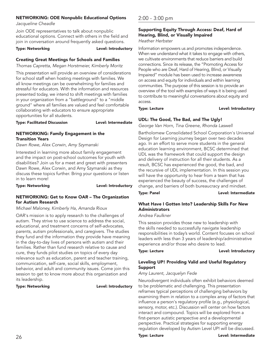# NETWORKING: ODE Nonpublic Educational Options

*Jacqueline Cheadle*

Join ODE representatives to talk about nonpublic educational options. Connect with others in the field and join in conversation around frequently asked questions.

Type: Networking and a controller controller that the Level: Introductory

# Creating Great Meetings for Schools and Families

*Thomas Capretta, Megan Horstmeier, Kimberly Moritz*

This presentation will provide an overview of considerations for school staff when hosting meetings with families. We all know meetings can be overwhelming for families and stressful for educators. With the information and resources presented today, we intend to shift meetings with families in your organization from a "battleground" to a "middle ground" where all families are valued and feel comfortable collaborating with educators to ensure appropriate opportunities for all students.

Type: Facilitated Discussion Level: Intermediate

# NETWORKING: Family Engagement in the Transition Years

*Dawn Rowe, Alex Corwin, Amy Szymanski*

Interested in learning more about family engagement and the impact on post-school outcomes for youth with disabilities? Join us for a meet and greet with presenters Dawn Rowe, Alex Corwin, and Amy Szymanski as they discuss these topics further. Bring your questions or listen in to learn more!

Type: Networking and Level: Introductory

### NETWORKING: Get to Know OAR – The Organization for Autism Research

*Michael Maloney, Kimberly Ha, Amanda Rioux*

OAR's mission is to apply research to the challenges of autism. They strive to use science to address the social, educational, and treatment concerns of self-advocates, parents, autism professionals, and caregivers. The studies they fund and the information they provide have meaning in the day-to-day lives of persons with autism and their families. Rather than fund research relative to cause and cure, they funds pilot studies on topics of every day relevance such as education, parent and teacher training, communication, self-care, social skills, employment, behavior, and adult and community issues. Come join this session to get to know more about this organization and its leadership.

### Type: Networking and a controller controller between Level: Introductory

# 2:00 - 3:00 pm

# Supporting Equity Through Access: Deaf, Hard of Hearing, Blind, or Visually Impaired

*Heather Herbster*

Information empowers us and promotes independence. When we understand what it takes to engage with others, we cultivate environments that reduce barriers and build connections. Since its release, the "Promoting Access for People who are Deaf, Hard of Hearing, Blind, or Visually Impaired" module has been used to increase awareness on access and equity for individuals and within learning communities. The purpose of this session is to provide an overview of the tool with examples of ways it is being used to contribute to meaningful conversations about equity and access.

### Type: Lecture **Lexel:** Level: Introductory

# UDL: The Good, The Bad, and The Ugly!

*George Van Horn, Tina Greene, Rhonda Laswell*

Bartholomew Consolidated School Corporation's Universal Design for Learning journey began over two decades ago. In an effort to serve more students in the general education learning environment, BCSC determined that UDL was the framework that could support the design and delivery of instruction for all their students. As a result, BCSC has experienced the good, the bad, and the recursive of UDL implementation. In this session you will have the opportunity to hear from a team that has experienced the beauty of success, the challenges of change, and barriers of both bureaucracy and mindset.

Type: Panel **Lexel:** Level: Intermediate

# What Have I Gotten Into? Leadership Skills For New Administrators

# *Andrea Faulkner*

This session provides those new to leadership with the skills needed to successfully navigate leadership responsibilities in today's world. Content focuses on school leaders with less than 3 years of leadership/administrative experience and/or those who desire to lead.

Type: Lecture **Lexture Level: Introductory** 

# Leveling UP! Providing Valid and Useful Regulatory Support

# *Amy Laurent, Jacquelyn Fede*

Neurodivergent individuals often exhibit behaviors deemed to be problematic and challenging. This presentation reframes typical perceptions of challenging behaviors by examining them in relation to a complex array of factors that influence a person's regulatory profile (e.g., physiological, sensory, motor, etc.). Discussion will center on how factors interact and compound. Topics will be explored from a first-person autistic perspective and a developmental perspective. Practical strategies for supporting energy regulation developed by Autism Level UP! will be discussed.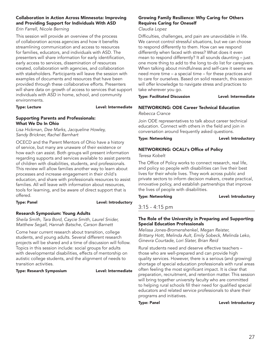# Collaboration in Action Across Minnesota: Improving and Providing Support for Individuals With ASD

*Erin Farrell, Nicole Berning*

This session will provide an overview of the process of collaboration across agencies and how it benefits streamlining communication and access to resources for families, educators, and individuals with ASD. The presenters will share information for early identification, early access to services, dissemination of resources created, collaboration with agencies, and collaboration with stakeholders. Participants will leave the session with examples of documents and resources that have been provided through these collaborative efforts. Presenters will share data on growth of access to services that support individuals with ASD in home, school, and community environments.

### Type: Lecture **Lexel:** Level: Intermediate

# Supporting Parents and Professionals: What We Do In Ohio

*Lisa Hickman, Dee Marks, Jacqueline Howley, Sandy Brickner, Rachel Barnhart*

OCECD and the Parent Mentors of Ohio have a history of service, but many are unaware of their existence or how each can assist. Both groups will present information regarding supports and services available to assist parents of children with disabilities, students, and professionals. This review will allow families another way to learn about processes and increase engagement in their child's education, and share with professionals resources to assist families. All will leave with information about resources, tools for learning, and be aware of direct support that is offered.

# Type: Panel **Level:** Introductory

# Research Symposium: Young Adults

*Sheila Smith, Tara Bord, Caycie Smith, Laurel Snider, Matthew Segall, Hannah Batsche, Carson Barnett*

Come hear current research about transition, college students, and young adults. Several different research projects will be shared and a time of discussion will follow. Topics in this session include: social groups for adults with developmental disabilities, effects of mentorship on autistic college students, and the alignment of needs to transition activities.

### Type: Research Symposium Level: Intermediate

# Growing Family Resilience: Why Caring for Others Requires Caring for Oneself

*Claudia Lopez*

Difficulties, challenges, and pain are unavoidable in life. We cannot control stressful situations, but we can choose to respond differently to them. How can we respond differently when faced with stress? What does it even mean to respond differently? It all sounds daunting – just one more thing to add to the long to-do list for caregivers. When talking about mindfulness and self-care it seems we need more time – a special time – for these practices and to care for ourselves. Based on solid research, this session will offer knowledge to navigate stress and practices to take wherever you go.

Type: Facilitated Discussion Level: Intermediate

# NETWORKING: ODE Career Technical Education

*Rebecca Crance*

Join ODE representatives to talk about career technical education. Connect with others in the field and join in conversation around frequently asked questions.

### Type: Networking **Level: Introductory**

# NETWORKING: OCALI's Office of Policy

*Teresa Kobelt*

The Office of Policy works to connect research, real life, and policy so people with disabilities can live their best lives for their whole lives. They work across public and private sectors to inform decision makers, create practical, innovative policy, and establish partnerships that improve the lives of people with disabilities.

Type: Networking and all the controller controller that the Level: Introductory

# 3:15 - 4:15 pm

# The Role of the University in Preparing and Supporting Special Education Professionals

*Melissa Jones-Bromenshenkel, Megan Reister, Brittany Hott, Melinda Ault, Emily Sobeck, Melinda Leko, Ginevra Courtade, Lori Slater, Brian Reid*

Rural students need and deserve effective teachers – those who are well-prepared and can provide high quality services. However, there is a serious (and growing) shortage of special education professionals with rural areas often feeling the most significant impact. It is clear that preparation, recruitment, and retention matter. This session will bring together university faculty who are committed to helping rural schools fill their need for qualified special educators and related service professionals to share their programs and initiatives.

### Type: Panel **Level: Introductory**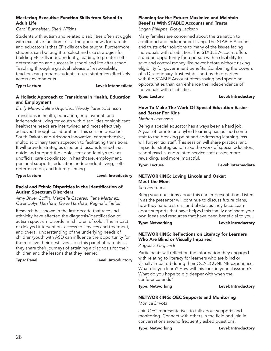# Mastering Executive Function Skills from School to Adult Life

### *Carol Burmeister, Sheri Wilkins*

Students with autism and related disabilities often struggle with executive function skills. The good news for parents and educators is that EF skills can be taught. Furthermore, students can be taught to select and use strategies for building EF skills independently, leading to greater selfdetermination and success in school and life after school. Teaching through a gradual release of responsibility, teachers can prepare students to use strategies effectively across environments.

### Type: Lecture **Lexel:** Level: Intermediate

# A Holistic Approach to Transitions in Health, Education and Employment

# *Emily Meier, Celina Urquidez, Wendy Parent-Johnson*

Transitions in health, education, employment, and independent living for youth with disabilities or significant healthcare needs are intertwined and most effectively achieved through collaboration. This session describes South Dakota and Arizona's innovative, comprehensive, multidisciplinary team approach to facilitating transitions. It will provide strategies used and lessons learned that guide and support the adolescent and family's role as unofficial care coordinator in healthcare, employment, personal supports, education, independent living, selfdetermination, and future planning.

Type: Lecture **Lexel:** Level: Introductory

### Racial and Ethnic Disparities in the Identification of Autism Spectrum Disorders

*Amy Bixler Coffin, Marbella Caceres, Iliana Martinez, Gwendolyn Harshaw, Gene Harshaw, Reginald Fields*

Research has shown in the last decade that race and ethnicity have affected the diagnosis/identification of autism spectrum disorder in children of color. The impact of delayed intervention, access to services and treatment, and overall understanding of the underlying needs of children/youth with ASD can influence the opportunity for them to live their best lives. Join this panel of parents as they share their journeys of attaining a diagnosis for their children and the lessons that they learned.

Type: Panel **Level: Introductory** 

# Planning for the Future: Maximize and Maintain Benefits With STABLE Accounts and Trusts

*Logan Philipps, Doug Jackson*

Many families are concerned about the transition to adulthood and independent living. The STABLE Account and trusts offer solutions to many of the issues facing individuals with disabilities. The STABLE Account offers a unique opportunity for a person with a disability to save and control money like never before without risking eligibility for government benefits. Combining the powers of a Discretionary Trust established by third parties with the STABLE Account offers saving and spending opportunities than can enhance the independence of individuals with disabilities.

### Type: Lecture **Lexel:** Level: Introductory

# How To Make The Work Of Special Education Easier and Better For Kids

*Nathan Levenson*

Being a special educator has always been a hard job. A year of remote and hybrid learning has pushed some staff to the breaking point and addressing learning loss will further tax staff. This session will share practical and impactful strategies to make the work of special educators, school psychs, and related service staff easier, more rewarding, and more impactful.

### Type: Lecture **Lexel:** Level: Intermediate

# NETWORKING: Loving Lincoln and Oskar: Meet the Mom

*Erin Simmons*

Bring your questions about this earlier presentation. Listen in as the presenter will continue to discuss future plans, how they handle stress, and obstacles they face. Learn about supports that have helped this family and share your own ideas and resources that have been beneficial to you.

Type: Networking and Level: Introductory

# NETWORKING: Reflections on Literacy for Learners Who Are Blind or Visually Impaired

*Angelica Gagliardi*

Participants will reflect on the information they engaged with relating to literacy for learners who are blind or visually impaired during their OCALICONLINE experience. What did you learn? How will this look in your classroom? What do you hope to dig deeper with when the conference ends?

Type: Networking and a controller controller that the Level: Introductory

# NETWORKING: OEC Supports and Monitoring

*Monica Drvota*

Join OEC representatives to talk about supports and monitoring. Connect with others in the field and join in conversations around frequently asked questions.

Type: Networking **Level: Introductory**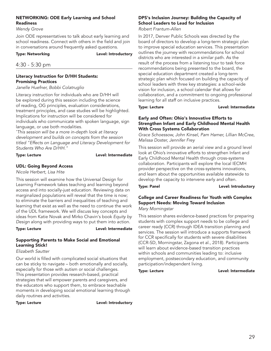# NETWORKING: ODE Early Learning and School Readiness

*Wendy Grove*

Join ODE representatives to talk about early learning and school readiness. Connect with others in the field and join in conversations around frequently asked questions.

Type: Networking and a controller controller that the Level: Introductory

# 4:30 - 5:30 pm

# Literacy Instruction for D/HH Students: Promising Practices

*Janelle Huefner, Bobbi Colatruglio*

Literacy instruction for individuals who are D/HH will be explored during this session including the science of reading, OG principles, evaluation considerations, treatment principles, and case studies will be highlighted. Implications for instruction will be considered for individuals who communicate with spoken language, sign language, or use both modalities.

*\* This session will be a more in-depth look at literacy development and builds on concepts from the session titled "Effects on Language and Literacy Development for Students Who Are D/HH."*

# Type: Lecture **Lexel:** Level: Intermediate

# UDL: Going Beyond Access

*Nicole Herbert, Lisa Hite*

This session will examine how the Universal Design for Learning Framework takes teaching and learning beyond access and into socially-just education. Reviewing data on marginalized populations will reveal that the time is now; to eliminate the barriers and inequalities of teaching and learning that exist as well as the need to continue the work of the UDL framework. We will discuss key concepts and ideas from Katie Novak and Mirko Chavin's book *Equity by Design* along with providing ways to put them into action.

Type: Lecture **Lexel:** Level: Intermediate

# Supporting Parents to Make Social and Emotional Learning Stick!

*Elizabeth Sautter*

Our world is filled with complicated social situations that can be sticky to navigate – both emotionally and socially, especially for those with autism or social challenges. This presentation provides research-based, practical strategies that will empower parents and caregivers, and the educators who support them, to embrace teachable moments in developing social emotional learning through daily routines and activities.

Type: Lecture **Level:** Introductory

# DPS's Inclusion Journey: Building the Capacity of School Leaders to Lead for Inclusion

*Robert Frantum-Allen*

In 2017, Denver Public Schools was directed by the board of directors to develop a long-term strategic plan to improve special education services. This presentation outlines the journey with recommendations for school districts who are interested in a similar path. As the result of the process from a listening tour to task force recommendations being presented to the board, the special education department created a long-term strategic plan which focused on building the capacity of school leaders with three key strategies: a school-wide vision for inclusion, a school calendar that allows for collaboration, and a commitment to ongoing professional learning for all staff on inclusive practices.

Type: Lecture **Lexel:** Level: Intermediate

### Early and Often: Ohio's Innovative Efforts to Strengthen Infant and Early Childhood Mental Health With Cross Systems Collaboration

*Grace Schoessow, John Kinsel, Pam Hamer, Lillian McCree, Malissa Doster, Jennifer Frey*

This session will provide an aerial view and a ground level look at Ohio's innovative efforts to strengthen Infant and Early Childhood Mental Health through cross-systems collaboration. Participants will explore the local IECMH provider perspective on the cross-systems innovations, and learn about the opportunities available statewide to develop the capacity to intervene early and often.

Type: Panel **Level:** Introductory

# College and Career Readiness for Youth with Complex Support Needs: Moving Toward Inclusion

*Mary Morningstar*

This session shares evidence-based practices for preparing students with complex support needs to be college and career ready (CCR) through IDEA transition planning and services. The session will introduce a supports framework for CCR specifically for students with severe disabilities (CCR-SD, Morningstar, Zagona et al., 2018). Participants will learn about evidence-based transition practices within schools and communities leading to: inclusive employment, postsecondary education, and community participation/independent living.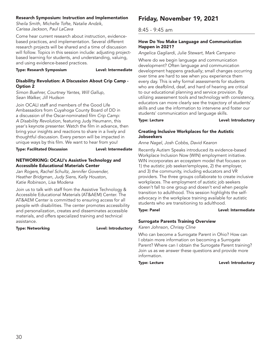# Research Symposium: Instruction and Implementation

*Sheila Smith, Michelle Tofte, Natalie Andzik, Carissa Jackson, Paul LaCava*

Come hear current research about instruction, evidencebased practices, and implementation. Several different research projects will be shared and a time of discussion will follow. Topics in this session include: adjusting projectbased learning for students, and understanding, valuing, and using evidence-based practices.

Type: Research Symposium Level: Intermediate

# Disability Revolution: A Discussion About Crip Camp - Option 2

*Simon Buehrer, Courtney Yantes, Will Gallup, Sean Walker, Jill Hudson*

Join OCALI staff and members of the Good Life Ambassadors from Cuyahoga County Board of DD in a discussion of the Oscar-nominated film *Crip Camp: A Disability Revolution*, featuring Judy Heumann, this year's keynote presenter. Watch the film in advance, then bring your insights and reactions to share in a lively and thoughtful discussion. Every person will be impacted in unique ways by this film. We want to hear from you!

Type: Facilitated Discussion Level: Intermediate

### NETWORKING: OCALI's Assistive Technology and Accessible Educational Materials Center

*Jan Rogers, Rachel Schultz, Jennifer Govender, Heather Bridgman, Judy Siens, Kelly Houston, Katie Robinson, Lisa Modena*

Join us to talk with staff from the Assistive Technology & Accessible Educational Materials (AT&AEM) Center. The AT&AEM Center is committed to ensuring access for all people with disabilities. The center promotes accessibility and personalization, creates and disseminates accessible materials, and offers specialized training and technical assistance.

Type: Networking and a controller controller be the Level: Introductory

# Friday, November 19, 2021

# 8:45 - 9:45 am

# How Do You Make Language and Communication Happen in 2021?

*Angelica Gagliardi, Julie Stewart, Mark Campano*

Where do we begin language and communication development? Often language and communication development happens gradually; small changes occurring over time are hard to see when you experience them every day. This is why formal assessments for students who are deafblind, deaf, and hard of hearing are critical to our educational planning and service provision. By utilizing assessment tools and technology with consistency, educators can more clearly see the trajectory of students' skills and use the information to intervene and foster our students' communication and language skills.

Type: Lecture **Lexel:** Level: Introductory

# Creating Inclusive Workplaces for the Autistic Jobseekers

*Anne Nagel, Josh Cobbs, David Kearon*

Recently Autism Speaks introduced its evidence-based Workplace Inclusion Now (WIN) employment initiative. WIN incorporates an ecosystem model that focuses on 1) the autistic job seeker/employee, 2) the employer, and 3) the community, including educators and VR providers. The three groups collaborate to create inclusive workplaces. The employment of autistic job seekers doesn't fall to one group and doesn't end when people transition to adulthood. This session highlights the selfadvocacy in the workplace training available for autistic students who are transitioning to adulthood.

Type: Panel **Level:** Intermediate

# Surrogate Parents Training Overview

*Karen Johnson, Chrissy Cline*

Who can become a Surrogate Parent in Ohio? How can I obtain more information on becoming a Surrogate Parent? Where can I obtain the Surrogate Parent training? Join us as we answer these questions and provide more information.

Type: Lecture **Lexel:** Level: Introductory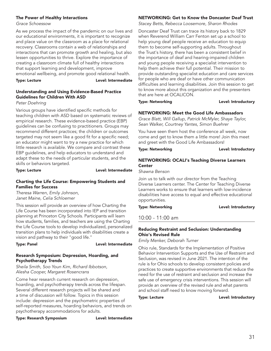### The Power of Healthy Interactions

### *Grace Schoessow*

As we process the impact of the pandemic on our lives and our educational environments, it is important to recognize and place value on the classroom as a place for relational recovery. Classrooms contain a web of relationships and interactions that can promote growth and healing, but also lessen opportunities to thrive. Explore the importance of creating a classroom climate full of healthy interactions that support learning and development, improve emotional wellbeing, and promote good relational health.

Type: Lecture **Lexture** Level: Intermediate

# Understanding and Using Evidence-Based Practice Guidelines for Children With ASD

### *Peter Doehring*

Various groups have identified specific methods for teaching children with ASD based on systematic reviews of empirical research. These evidence-based practice (EBP) guidelines can be confusing to practitioners. Groups may recommend different practices; the children or outcomes targeted may not seem like a good fit for a specific need; an educator might want to try a new practice for which little research is available. We compare and contrast these EBP guidelines, and help educators to understand and adapt these to the needs of particular students, and the skills or behaviors targeted.

Type: Lecture **Lexel:** Level: Intermediate

# Charting the Life Course: Empowering Students and Families for Success

*Theresa Warren, Emily Johnson, Janet Maine, Celia Schloemer*

This session will provide an overview of how Charting the Life Course has been incorporated into IEP and transition planning at Princeton City Schools. Participants will learn how students, families, and teachers are using the Charting the Life Course tools to develop individualized, personalized transition plans to help individuals with disabilities create a vision and pathway to their "good life."

Type: Panel **Level:** Intermediate

### Research Symposium: Depression, Hoarding, and Psychotherapy Trends

*Sheila Smith, Soo Youn Kim, Richard Ibbotson, Alesha Cooper, Margaret Rosencrans*

Come hear research current research on depression, hoarding, and psychotherapy trends across the lifespan. Several different research projects will be shared and a time of discussion will follow. Topics in this session include: depression and the psychometric properties of self-reported measures, hoarding behaviors, and trends on psychotherapy accommodations for adults.

Type: Research Symposium Level: Intermediate

# NETWORKING: Get to Know the Doncaster Deaf Trust

*Stacey Betts, Rebecca Loosemore, Sharon Rhodes*

Doncaster Deaf Trust can trace its history back to 1829 when Reverend William Carr Fenton set up a school to help young deaf people receive an education to equip them to become self-supporting adults. Throughout the Trust's history, there has been a consistent belief in the importance of deaf and hearing-impaired children and young people receiving a specialist intervention to help them achieve their full potential. Their mission to provide outstanding specialist education and care services for people who are deaf or have other communication difficulties and learning disabilities. Join this session to get to know more about this organization and the presenters that are here at OCALICON.

Type: Networking and a controller controller that the Level: Introductory

### NETWORKING: Meet the Good Life Ambassadors

*Grace Blatt, Will Gallup, Patrick McMyler, Shaye Taylor, Sean Walker, Courtney Yantes, Simon Buehrer*

You have seen them host the conference all week, now come and get to know them a little more! Join this meet and greet with the Good Life Ambassadors!

Type: Networking research introductory

# NETWORKING: OCALI's Teaching Diverse Learners **Center**

*Shawna Benson*

Join us to talk with our director from the Teaching Diverse Learners center. The Center for Teaching Diverse Learners works to ensure that learners with low-incidence disabilities have access to equal and effective educational opportunities.

Type: Networking and all the controller that the Level: Introductory

# 10:00 - 11:00 am

# Reducing Restraint and Seclusion: Understanding Ohio's Revised Rule

*Emily Menker, Deborah Turner*

Ohio rule, Standards for the Implementation of Positive Behavior Intervention Supports and the Use of Restraint and Seclusion, was revised in June 2021. The intention of the rule is for Ohio schools to develop consistent policies and practices to create supportive environments that reduce the need for the use of restraint and seclusion and increase the safe use of emergency crisis interventions. This session will provide an overview of the revised rule and what parents and school staff need to know moving forward.

Type: Lecture **Lexture Level: Introductory**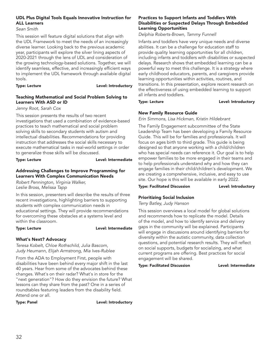# UDL Plus Digital Tools Equals Innovative Instruction for ALL Learners

*Sean Smith*

This session will feature digital solutions that align with the UDL Framework to meet the needs of an increasingly diverse learner. Looking back to the previous academic year, participants will explore the silver lining aspects of 2020-2021 through the lens of UDL and consideration of the growing technology-based solutions. Together, we will identify seamless, effective, and increasingly efficient ways to implement the UDL framework through available digital tools.

Type: Lecture **Lexel:** Level: Introductory

# Teaching Mathematical and Social Problem Solving to Learners With ASD or ID

*Jenny Root, Sarah Cox*

This session presents the results of two recent investigations that used a combination of evidence-based practices to teach mathematical and social problem solving skills to secondary students with autism and intellectual disabilities. Recommendations for providing instruction that addresses the social skills necessary to execute mathematical tasks in real-world settings in order to generalize those skills will be discussed.

Type: Lecture **Lexture Level: Intermediate** 

# Addressing Challenges to Improve Programming for Learners With Complex Communication Needs

*Robert Pennington, Virginia Walker, Leslie Bross, Melissa Tapp*

In this session, presenters will describe the results of three recent investigations, highlighting barriers to supporting students with complex communication needs in educational settings. They will provide recommendations for overcoming these obstacles at a systems level and within the classroom.

# Type: Lecture Level: Intermediate

# What's Next? Advocacy

*Teresa Kobelt, Chloe Rothschild, Julia Bascom, Judy Heumann, Elijah Armstrong, Mia Ives-Rublee*

From the ADA to Employment First, people with disabilities have been behind every major shift in the last 40 years. Hear from some of the advocates behind these changes. What's on their radar? What's in store for the "next generation"? How do they envision the future? What lessons can they share from the past? One in a series of roundtables featuring leaders from the disability field. Attend one or all.

Type: Panel **Level:** Introductory

# Practices to Support Infants and Toddlers With Disabilities or Suspected Delays Through Embedded Learning Opportunities

*Delphia Roberts-Brown, Tammy Funnell*

Infants and toddlers have very unique needs and diverse abilities. It can be a challenge for education staff to provide quality learning opportunities for all children, including infants and toddlers with disabilities or suspected delays. Research shows that embedded learning can be a powerful way to meet this challenge. It is a strategy where early childhood educators, parents, and caregivers provide learning opportunities within activities, routines, and transitions. In this presentation, explore recent research on the effectiveness of using embedded learning to support all infants and toddlers.

### Type: Lecture **Lexel:** Level: Introductory

# New Family Resource Guide

*Erin Simmons, Lisa Hickman, Kristin Hildebrant*

The Family Engagement subcommittee of the State Leadership Team has been developing a Family Resource Guide. This will be for families and professionals. It will focus on ages birth to third grade. This guide is being designed so that anyone working with a child/children who has special needs can reference it. Our goal is to help empower families to be more engaged in their teams and to help professionals understand why and how they can engage families in their child/children's development. We are creating a comprehensive, inclusive, and easy to use site. Our hope is this will be available in early 2022.

Type: Facilitated Discussion Level: Introductory

# Prioritizing Social Inclusion

*Terry Batley, Judy Hanson*

This session overviews a local model for global solutions and recommends how to replicate the model. Details of the model, and how to identify service and delivery gaps in the community will be explained. Participants will engage in discussions around identifying barriers for diversity within the autistic community, data collection questions, and potential research results. They will reflect on social supports, budgets for socializing, and what current programs are offering. Best practices for social engagement will be shared.

Type: Facilitated Discussion Level: Intermediate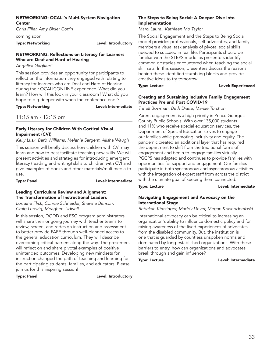### NETWORKING: OCALI's Multi-System Navigation **Center**

*Chris Filler, Amy Bixler Coffin*

coming soon

Type: Networking and a controller controller that the Level: Introductory

# NETWORKING: Reflections on Literacy for Learners Who are Deaf and Hard of Hearing

*Angelica Gagliardi*

This session provides an opportunity for participants to reflect on the information they engaged with relating to literacy for learners who are Deaf and Hard of Hearing during their OCALICONLINE experience. What did you learn? How will this look in your classroom? What do you hope to dig deeper with when the conference ends?

Type: Networking and a controller controller between Level: Intermediate

# 11:15 am - 12:15 pm

# Early Literacy for Children With Cortical Visual Impairment (CVI)

*Kelly Lusk, Barb Williams, Melanie Sargent, Alisha Waugh*

This session will briefly discuss how children with CVI may learn and how to best facilitate teaching new skills. We will present activities and strategies for introducing emergent literacy (reading and writing) skills to children with CVI and give examples of books and other materials/multimedia to use.

Type: Panel **Level:** Intermediate

### Leading Curriculum Review and Alignment: The Transformation of Instructional Leaders

*Lorraine Flick, Connie Schneider, Shawna Benson, Craig Ludwig, Meaghen Tidwell*

In this session, DODD and ESC program administrators will share their ongoing journey with teacher teams to review, screen, and redesign instruction and assessment to better provide FAPE through well-planned access to the general education curriculum. They will describe overcoming critical barriers along the way. The presenters will reflect on and share pivotal examples of positive unintended outcomes. Developing new mindsets for instruction changed the path of teaching and learning for the participating students, families, and educators. Please join us for this inspiring session!

Type: Panel **Level: Introductory** 

# The Steps to Being Social: A Deeper Dive Into Implementation

*Marci Laurel, Kathleen Mo Taylor*

The Social Engagement and the Steps to Being Social model provides professionals, self-advocates, and family members a visual task analysis of pivotal social skills needed to succeed in real life. Participants should be familiar with the STEPS model as presenters identify common obstacles encountered when teaching the social skill sets. In this session, presenters discuss the reasons behind these identified stumbling blocks and provide creative ideas to try tomorrow.

Type: Lecture **Lexel: Experienced** 

# Creating and Sustaining Inclusive Family Engagement Practices Pre and Post COVID-19

*Trinell Bowman, Beth Diaite, Marsie Torchon*

Parent engagement is a high priority in Prince George's County Public Schools. With over 135,000 students and 11% who receive special education services, the Department of Special Education strives to engage our families while promoting inclusivity and equity. The pandemic created an additional layer that has required the department to shift from the traditional forms of engagement and begin to engage families virtually. PGCPS has adapted and continues to provide families with opportunities for support and engagement. Our families participate in both synchronous and asynchronous activities with the integration of expert staff from across the district with the ultimate goal of keeping them connected.

Type: Lecture **Lexel:** Level: Intermediate

# Navigating Engagement and Advocacy on the International Stage

*Rebekah Kintzinger, Maddy Dever, Megan Krasnodembski*

International advocacy can be critical to increasing an organization's ability to influence domestic policy and for raising awareness of the lived experiences of advocates from the disabled community. But, the institution is one that is guarded by countless unspoken norms and dominated by long-established organizations. With these barriers to entry, how can organizations and advocates break through and gain influence?